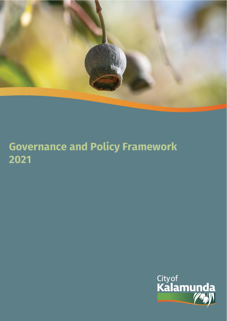

# **Governance and Policy Framework 2021**

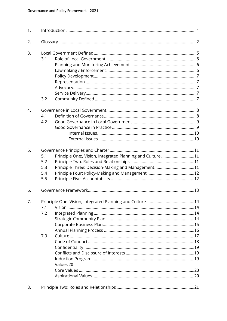| 1. |     |                                                           |  |
|----|-----|-----------------------------------------------------------|--|
| 2. |     |                                                           |  |
| 3. |     |                                                           |  |
|    | 3.1 |                                                           |  |
|    |     |                                                           |  |
|    |     |                                                           |  |
|    |     |                                                           |  |
|    |     |                                                           |  |
|    |     |                                                           |  |
|    |     |                                                           |  |
|    | 3.2 |                                                           |  |
| 4. |     |                                                           |  |
|    | 4.1 |                                                           |  |
|    | 4.2 |                                                           |  |
|    |     |                                                           |  |
|    |     |                                                           |  |
|    |     |                                                           |  |
|    |     |                                                           |  |
| 5. |     |                                                           |  |
|    | 5.1 | Principle One:, Vision, Integrated Planning and Culture11 |  |
|    | 5.2 |                                                           |  |
|    | 5.3 | Principle Three: Decision-Making and Management11         |  |
|    | 5.4 |                                                           |  |
|    | 5.5 |                                                           |  |
| 6. |     |                                                           |  |
| 7. |     |                                                           |  |
|    | 7.1 |                                                           |  |
|    | 7.2 |                                                           |  |
|    |     |                                                           |  |
|    |     |                                                           |  |
|    |     |                                                           |  |
|    | 7.3 |                                                           |  |
|    |     |                                                           |  |
|    |     |                                                           |  |
|    |     |                                                           |  |
|    |     |                                                           |  |
|    |     | Values 20                                                 |  |
|    |     |                                                           |  |
|    |     |                                                           |  |
|    |     |                                                           |  |
| 8. |     |                                                           |  |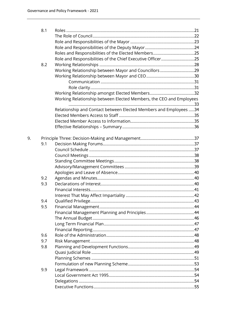9.

| 8.1 |                                                                     |  |
|-----|---------------------------------------------------------------------|--|
|     |                                                                     |  |
|     |                                                                     |  |
|     |                                                                     |  |
|     |                                                                     |  |
|     | Role and Responsibilities of the Chief Executive Officer25          |  |
| 8.2 |                                                                     |  |
|     | Working Relationship between Mayor and Councillors29                |  |
|     |                                                                     |  |
|     |                                                                     |  |
|     |                                                                     |  |
|     |                                                                     |  |
|     | Working Relationship between Elected Members, the CEO and Employees |  |
|     | Relationship and Contact between Elected Members and Employees 34   |  |
|     |                                                                     |  |
|     |                                                                     |  |
|     |                                                                     |  |
|     |                                                                     |  |
| 9.1 |                                                                     |  |
|     |                                                                     |  |
|     |                                                                     |  |
|     |                                                                     |  |
|     |                                                                     |  |
|     |                                                                     |  |
| 9.2 |                                                                     |  |
| 9.3 |                                                                     |  |
|     |                                                                     |  |
|     |                                                                     |  |
| 9.4 |                                                                     |  |
| 9.5 |                                                                     |  |
|     |                                                                     |  |
|     |                                                                     |  |
|     |                                                                     |  |
|     |                                                                     |  |
| 9.6 |                                                                     |  |
| 9.7 |                                                                     |  |
| 9.8 |                                                                     |  |
|     |                                                                     |  |
|     |                                                                     |  |
|     |                                                                     |  |
| 9.9 |                                                                     |  |
|     |                                                                     |  |
|     |                                                                     |  |
|     |                                                                     |  |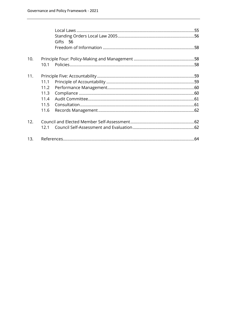|     |      | Gifts 56 |  |
|-----|------|----------|--|
|     |      |          |  |
| 10. |      |          |  |
|     | 10.1 |          |  |
| 11. |      |          |  |
|     | 11.1 |          |  |
|     | 11.2 |          |  |
|     | 11.3 |          |  |
|     | 11.4 |          |  |
|     | 11.5 |          |  |
|     | 11.6 |          |  |
| 12. |      |          |  |
|     | 12.1 |          |  |
| 13. |      |          |  |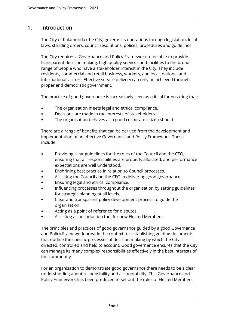# 1. Introduction

The City of Kalamunda (the City) governs its operations through legislation, local laws, standing orders, council resolutions, polices, procedures and guidelines.

The City requires a Governance and Policy Framework to be able to provide transparent decision making, high quality services and facilities to the broad range of people who have a stakeholder interest in the City. They include residents, commercial and retail business, workers, and local, national and international visitors. Effective service delivery can only be achieved through proper and democratic government.

The practice of good governance is increasingly seen as critical for ensuring that:

- The organisation meets legal and ethical compliance.
- Decisions are made in the interests of stakeholders.
- The organisation behaves as a good corporate citizen should.

There are a range of benefits that can be derived from the development and implementation of an effective Governance and Policy Framework. These include:

- Providing clear guidelines for the roles of the Council and the CEO, ensuring that all responsibilities are properly allocated, and performance expectations are well understood.
- Enshrining best practice in relation to Council processes.
- Assisting the Council and the CEO in delivering good governance.
- Ensuring legal and ethical compliance.
- Influencing processes throughout the organisation by setting guidelines for strategic planning at all levels.
- Clear and transparent policy development process to guide the organisation.
- Acting as a point of reference for disputes.
- Assisting as an induction tool for new Elected Members.

The principles and practices of good governance guided by a good Governance and Policy Framework provide the context for establishing guiding documents that outline the specific processes of decision making by which the City is directed, controlled and held to account. Good governance ensures that the City can manage its many complex responsibilities effectively in the best interests of the community.

For an organisation to demonstrate good governance there needs to be a clear understanding about responsibility and accountability. This Governance and Policy Framework has been produced to set out the roles of Elected Members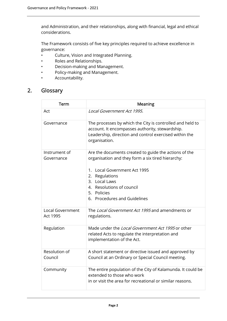and Administration, and their relationships, along with financial, legal and ethical considerations.

The Framework consists of five key principles required to achieve excellence in governance:

- Culture, Vision and Integrated Planning.
- Roles and Relationships.
- Decision-making and Management.
- Policy-making and Management.
- Accountability.

# 2. Glossary

| Term                                       | <b>Meaning</b>                                                                                                                                                                          |
|--------------------------------------------|-----------------------------------------------------------------------------------------------------------------------------------------------------------------------------------------|
| Act                                        | Local Government Act 1995.                                                                                                                                                              |
| Governance                                 | The processes by which the City is controlled and held to<br>account. It encompasses authority, stewardship.<br>Leadership, direction and control exercised within the<br>organisation. |
| Instrument of<br>Governance                | Are the documents created to guide the actions of the<br>organisation and they form a six tired hierarchy:                                                                              |
|                                            | 1. Local Government Act 1995                                                                                                                                                            |
|                                            | 2. Regulations<br>3. Local Laws                                                                                                                                                         |
|                                            | 4. Resolutions of council                                                                                                                                                               |
|                                            | 5. Policies<br>6. Procedures and Guidelines                                                                                                                                             |
|                                            |                                                                                                                                                                                         |
| <b>Local Government</b><br><b>Act 1995</b> | The Local Government Act 1995 and amendments or<br>regulations.                                                                                                                         |
| Regulation                                 | Made under the Local Government Act 1995 or other<br>related Acts to regulate the interpretation and<br>implementation of the Act.                                                      |
| Resolution of<br>Council                   | A short statement or directive issued and approved by<br>Council at an Ordinary or Special Council meeting.                                                                             |
| Community                                  | The entire population of the City of Kalamunda. It could be<br>extended to those who work<br>in or visit the area for recreational or similar reasons.                                  |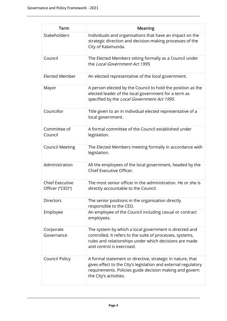| Term                                      | <b>Meaning</b>                                                                                                                                                                                                    |
|-------------------------------------------|-------------------------------------------------------------------------------------------------------------------------------------------------------------------------------------------------------------------|
| Stakeholders                              | Individuals and organisations that have an impact on the<br>strategic direction and decision-making processes of the<br>City of Kalamunda.                                                                        |
| Council                                   | The Elected Members sitting formally as a Council under<br>the Local Government Act 1995.                                                                                                                         |
| <b>Elected Member</b>                     | An elected representative of the local government.                                                                                                                                                                |
| Mayor                                     | A person elected by the Council to hold the position as the<br>elected leader of the local government for a term as<br>specified by the Local Government Act 1995.                                                |
| Councillor                                | Title given to an in individual elected representative of a<br>local government.                                                                                                                                  |
| Committee of<br>Council                   | A formal committee of the Council established under<br>legislation.                                                                                                                                               |
| <b>Council Meeting</b>                    | The Elected Members meeting formally in accordance with<br>legislation.                                                                                                                                           |
| Administration                            | All the employees of the local government, headed by the<br>Chief Executive Officer.                                                                                                                              |
| <b>Chief Executive</b><br>Officer ("CEO") | The most senior officer in the administration. He or she is<br>directly accountable to the Council.                                                                                                               |
| <b>Directors</b>                          | The senior positions in the organisation directly<br>responsible to the CEO.                                                                                                                                      |
| Employee                                  | An employee of the Council including casual or contract<br>employees.                                                                                                                                             |
| Corporate<br>Governance                   | The system by which a local government is directed and<br>controlled. It refers to the suite of processes, systems,<br>rules and relationships under which decisions are made<br>and control is exercised.        |
| Council Policy                            | A formal statement or directive, strategic in nature, that<br>gives effect to the City's legislation and external regulatory<br>requirements. Policies guide decision making and govern<br>the City's activities. |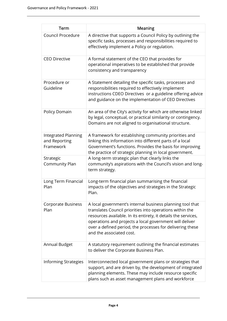| Term                                                     | Meaning                                                                                                                                                                                                                                                                                                                                     |
|----------------------------------------------------------|---------------------------------------------------------------------------------------------------------------------------------------------------------------------------------------------------------------------------------------------------------------------------------------------------------------------------------------------|
| Council Procedure                                        | A directive that supports a Council Policy by outlining the<br>specific tasks, processes and responsibilities required to<br>effectively implement a Policy or regulation.                                                                                                                                                                  |
| <b>CEO Directive</b>                                     | A formal statement of the CEO that provides for<br>operational imperatives to be established that provide<br>consistency and transparency                                                                                                                                                                                                   |
| Procedure or<br>Guideline                                | A Statement detailing the specific tasks, processes and<br>responsibilities required to effectively implement<br>instructions CDEO Directives or a guideline offering advice<br>and guidance on the implementation of CEO Directives                                                                                                        |
| Policy Domain                                            | An area of the City's activity for which are otherwise linked<br>by legal, conceptual, or practical similarity or contingency.<br>Domains are not aligned to organisational structure.                                                                                                                                                      |
| <b>Integrated Planning</b><br>and Reporting<br>Framework | A framework for establishing community priorities and<br>linking this information into different parts of a local<br>Government's functions. Provides the basis for improving<br>the practice of strategic planning in local government.                                                                                                    |
| Strategic<br>Community Plan                              | A long-term strategic plan that clearly links the<br>community's aspirations with the Council's vision and long-<br>term strategy.                                                                                                                                                                                                          |
| Long Term Financial<br>Plan                              | Long-term financial plan summarising the financial<br>impacts of the objectives and strategies in the Strategic<br>Plan                                                                                                                                                                                                                     |
| <b>Corporate Business</b><br>Plan                        | A local government's internal business planning tool that<br>translates Council priorities into operations within the<br>resources available. In its entirety, it details the services,<br>operations and projects a local government will deliver<br>over a defined period, the processes for delivering these<br>and the associated cost. |
| <b>Annual Budget</b>                                     | A statutory requirement outlining the financial estimates<br>to deliver the Corporate Business Plan.                                                                                                                                                                                                                                        |
| <b>Informing Strategies</b>                              | Interconnected local government plans or strategies that<br>support, and are driven by, the development of integrated<br>planning elements. These may include resource specific<br>plans such as asset management plans and workforce                                                                                                       |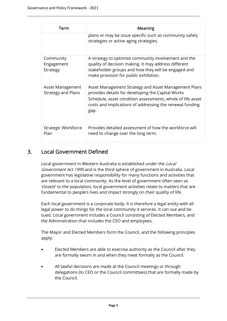| Term                                          | Meaning                                                                                                                                                                                                                                     |
|-----------------------------------------------|---------------------------------------------------------------------------------------------------------------------------------------------------------------------------------------------------------------------------------------------|
|                                               | plans or may be issue specific such as community safety<br>strategies or active aging strategies.                                                                                                                                           |
| Community<br>Engagement<br>Strategy           | A strategy to optimise community involvement and the<br>quality of decision making. It may address different<br>stakeholder groups and how they will be engaged and<br>make provision for public exhibition.                                |
| Asset Management<br><b>Strategy and Plans</b> | Asset Management Strategy and Asset Management Plans<br>provides details for developing the Capital Works<br>Schedule, asset condition assessments, whole of life asset<br>costs and implications of addressing the renewal funding<br>gap. |
| Strategic Workforce<br>Plan                   | Provides detailed assessment of how the workforce will<br>need to change over the long term.                                                                                                                                                |

# 3. Local Government Defined

Local government in Western Australia is established under the Local Government Act 1995 and is the third sphere of government in Australia. Local government has legislative responsibility for many functions and activities that are relevant to a local community. As the level of government often seen as 'closest' to the population, local government activities relate to matters that are fundamental to people's lives and impact strongly on their quality of life.

Each local government is a corporate body. It is therefore a legal entity with all legal power to do things for the local community it services. It can sue and be sued. Local government includes a Council consisting of Elected Members, and the Administration that includes the CEO and employees.

The Mayor and Elected Members form the Council, and the following principles apply:

- Elected Members are able to exercise authority as the Council after they are formally sworn in and when they meet formally as the Council.
- All lawful decisions are made at the Council meetings or through delegations (to CEO or the Council committees) that are formally made by the Council.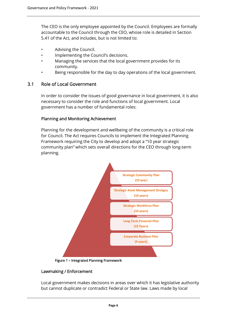The CEO is the only employee appointed by the Council. Employees are formally accountable to the Council through the CEO, whose role is detailed in Section 5.41 of the Act, and includes, but is not limited to:

- Advising the Council.
- Implementing the Council's decisions.
- Managing the services that the local government provides for its community.
- Being responsible for the day to day operations of the local government.

# 3.1 Role of Local Government

In order to consider the issues of good governance in local government, it is also necessary to consider the role and functions of local government. Local government has a number of fundamental roles:

## Planning and Monitoring Achievement

Planning for the development and wellbeing of the community is a critical role for Council. The Act requires Councils to implement the Integrated Planning Framework requiring the City to develop and adopt a "10 year strategic community plan" which sets overall directions for the CEO through long-term planning.



Figure 1 – Integrated Planning Framework

#### Lawmaking / Enforcement

Local government makes decisions in areas over which it has legislative authority but cannot duplicate or contradict Federal or State law. Laws made by local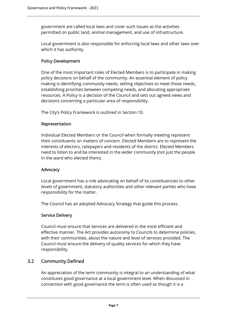government are called local laws and cover such issues as the activities permitted on public land, animal management, and use of infrastructure.

Local government is also responsible for enforcing local laws and other laws over which it has authority.

## Policy Development

One of the most important roles of Elected Members is to participate in making policy decisions on behalf of the community. An essential element of policy making is identifying community needs, setting objectives to meet those needs, establishing priorities between competing needs, and allocating appropriate resources. A Policy is a decision of the Council and sets out agreed views and decisions concerning a particular area of responsibility.

The City's Policy Framework is outlined in Section 10.

#### Representation

Individual Elected Members or the Council when formally meeting represent their constituents on matters of concern. Elected Members are to represent the interests of electors, ratepayers and residents of the district. Elected Members need to listen to and be interested in the wider community (not just the people in the ward who elected them).

#### Advocacy

Local government has a role advocating on behalf of its constituencies to other levels of government, statutory authorities and other relevant parties who have responsibility for the matter.

The Council has an adopted Advocacy Strategy that guide this process.

#### Service Delivery

Council must ensure that services are delivered in the most efficient and effective manner. The Act provides autonomy to Councils to determine policies, with their communities, about the nature and level of services provided. The Council must ensure the delivery of quality services for which they have responsibility.

# 3.2 Community Defined

An appreciation of the term community is integral to an understanding of what constitutes good governance at a local government level. When discussed in connection with good governance the term is often used as though it is a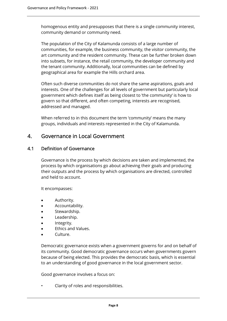homogenous entity and presupposes that there is a single community interest, community demand or community need.

The population of the City of Kalamunda consists of a large number of communities, for example, the business community, the visitor community, the art community and the resident community. These can be further broken down into subsets, for instance, the retail community, the developer community and the tenant community. Additionally, local communities can be defined by geographical area for example the Hills orchard area.

Often such diverse communities do not share the same aspirations, goals and interests. One of the challenges for all levels of government but particularly local government which defines itself as being closest to 'the community' is how to govern so that different, and often competing, interests are recognised, addressed and managed.

When referred to in this document the term 'community' means the many groups, individuals and interests represented in the City of Kalamunda.

# 4. Governance in Local Government

# 4.1 Definition of Governance

Governance is the process by which decisions are taken and implemented, the process by which organisations go about achieving their goals and producing their outputs and the process by which organisations are directed, controlled and held to account.

It encompasses:

- Authority.
- Accountability.
- Stewardship.
- Leadership.
- Integrity.
- Ethics and Values.
- Culture.

Democratic governance exists when a government governs for and on behalf of its community. Good democratic governance occurs when governments govern because of being elected. This provides the democratic basis, which is essential to an understanding of good governance in the local government sector.

Good governance involves a focus on:

• Clarity of roles and responsibilities.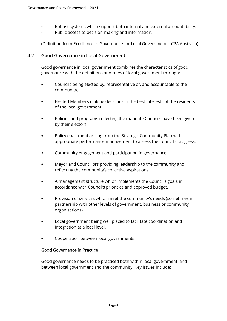- Robust systems which support both internal and external accountability.
- Public access to decision-making and information.

(Definition from Excellence in Governance for Local Government – CPA Australia)

# 4.2 Good Governance in Local Government

Good governance in local government combines the characteristics of good governance with the definitions and roles of local government through:

- Councils being elected by, representative of, and accountable to the community.
- Elected Members making decisions in the best interests of the residents of the local government.
- Policies and programs reflecting the mandate Councils have been given by their electors.
- Policy enactment arising from the Strategic Community Plan with appropriate performance management to assess the Council's progress.
- Community engagement and participation in governance.
- Mayor and Councillors providing leadership to the community and reflecting the community's collective aspirations.
- A management structure which implements the Council's goals in accordance with Council's priorities and approved budget.
- Provision of services which meet the community's needs (sometimes in partnership with other levels of government, business or community organisations).
- Local government being well placed to facilitate coordination and integration at a local level.
- Cooperation between local governments.

#### Good Governance in Practice

Good governance needs to be practiced both within local government, and between local government and the community. Key issues include: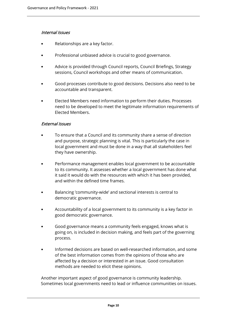#### Internal Issues

- Relationships are a key factor.
- Professional unbiased advice is crucial to good governance.
- Advice is provided through Council reports, Council Briefings, Strategy sessions, Council workshops and other means of communication.
- Good processes contribute to good decisions. Decisions also need to be accountable and transparent.
- Elected Members need information to perform their duties. Processes need to be developed to meet the legitimate information requirements of Elected Members.

#### External Issues

- To ensure that a Council and its community share a sense of direction and purpose, strategic planning is vital. This is particularly the case in local government and must be done in a way that all stakeholders feel they have ownership.
- Performance management enables local government to be accountable to its community. It assesses whether a local government has done what it said it would do with the resources with which it has been provided, and within the defined time frames.
- Balancing 'community-wide' and sectional interests is central to democratic governance.
- Accountability of a local government to its community is a key factor in good democratic governance.
- Good governance means a community feels engaged, knows what is going on, is included in decision making, and feels part of the governing process.
- Informed decisions are based on well-researched information, and some of the best information comes from the opinions of those who are affected by a decision or interested in an issue. Good consultation methods are needed to elicit these opinions.

Another important aspect of good governance is community leadership. Sometimes local governments need to lead or influence communities on issues.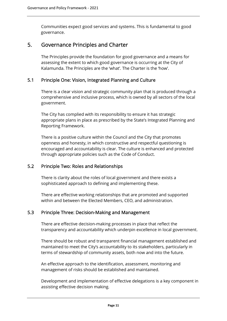Communities expect good services and systems. This is fundamental to good governance.

# 5. Governance Principles and Charter

The Principles provide the foundation for good governance and a means for assessing the extent to which good governance is occurring at the City of Kalamunda. The Principles are the 'what'. The Charter is the 'how'.

# 5.1 Principle One: Vision, Integrated Planning and Culture

There is a clear vision and strategic community plan that is produced through a comprehensive and inclusive process, which is owned by all sectors of the local government.

The City has complied with its responsibility to ensure it has strategic appropriate plans in place as prescribed by the State's Integrated Planning and Reporting Framework.

There is a positive culture within the Council and the City that promotes openness and honesty, in which constructive and respectful questioning is encouraged and accountability is clear. The culture is enhanced and protected through appropriate policies such as the Code of Conduct.

# 5.2 Principle Two: Roles and Relationships

There is clarity about the roles of local government and there exists a sophisticated approach to defining and implementing these.

There are effective working relationships that are promoted and supported within and between the Elected Members, CEO, and administration.

#### 5.3 Principle Three: Decision-Making and Management

There are effective decision-making processes in place that reflect the transparency and accountability which underpin excellence in local government.

There should be robust and transparent financial management established and maintained to meet the City's accountability to its stakeholders, particularly in terms of stewardship of community assets, both now and into the future.

An effective approach to the identification, assessment, monitoring and management of risks should be established and maintained.

Development and implementation of effective delegations is a key component in assisting effective decision making.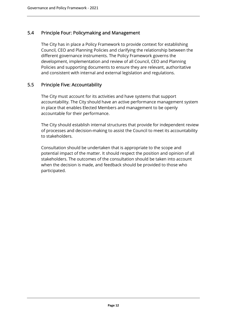# 5.4 Principle Four: Policymaking and Management

The City has in place a Policy Framework to provide context for establishing Council, CEO and Planning Policies and clarifying the relationship between the different governance instruments. The Policy Framework governs the development, implementation and review of all Council, CEO and Planning Policies and supporting documents to ensure they are relevant, authoritative and consistent with internal and external legislation and regulations.

# 5.5 Principle Five: Accountability

The City must account for its activities and have systems that support accountability. The City should have an active performance management system in place that enables Elected Members and management to be openly accountable for their performance.

The City should establish internal structures that provide for independent review of processes and decision-making to assist the Council to meet its accountability to stakeholders.

Consultation should be undertaken that is appropriate to the scope and potential impact of the matter. It should respect the position and opinion of all stakeholders. The outcomes of the consultation should be taken into account when the decision is made, and feedback should be provided to those who participated.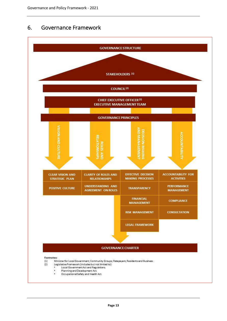# 6. Governance Framework

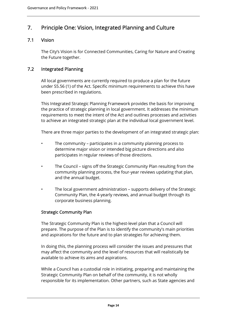# 7. Principle One: Vision, Integrated Planning and Culture

# 7.1 Vision

The City's Vision is for Connected Communities, Caring for Nature and Creating the Future together.

# 7.2 Integrated Planning

All local governments are currently required to produce a plan for the future under S5.56 (1) of the Act. Specific minimum requirements to achieve this have been prescribed in regulations.

This Integrated Strategic Planning Framework provides the basis for improving the practice of strategic planning in local government. It addresses the minimum requirements to meet the intent of the Act and outlines processes and activities to achieve an integrated strategic plan at the individual local government level.

There are three major parties to the development of an integrated strategic plan:

- The community participates in a community planning process to determine major vision or intended big picture directions and also participates in regular reviews of those directions.
- The Council signs off the Strategic Community Plan resulting from the community planning process, the four-year reviews updating that plan, and the annual budget.
- The local government administration supports delivery of the Strategic Community Plan, the 4-yearly reviews, and annual budget through its corporate business planning.

#### Strategic Community Plan

The Strategic Community Plan is the highest-level plan that a Council will prepare. The purpose of the Plan is to identify the community's main priorities and aspirations for the future and to plan strategies for achieving them.

In doing this, the planning process will consider the issues and pressures that may affect the community and the level of resources that will realistically be available to achieve its aims and aspirations.

While a Council has a custodial role in initiating, preparing and maintaining the Strategic Community Plan on behalf of the community, it is not wholly responsible for its implementation. Other partners, such as State agencies and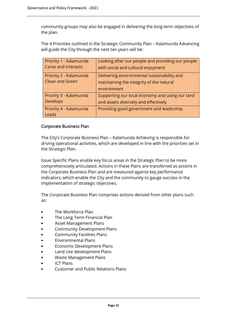community groups may also be engaged in delivering the long-term objectives of the plan.

The 4 Priorities outlined in the Strategic Community Plan – Kalamunda Advancing will guide the City through the next ten years will be:

| Priority 1 - Kalamunda                    | Looking after our people and providing our people                                                      |
|-------------------------------------------|--------------------------------------------------------------------------------------------------------|
| <b>Cares and Interacts</b>                | with social and cultural enjoyment                                                                     |
| Priority 2 - Kalamunda<br>Clean and Green | Delivering environmental sustainability and<br>maintaining the integrity of the natural<br>environment |
| Priority 3 - Kalamunda                    | Supporting our local economy and using our land                                                        |
| <b>Develops</b>                           | and assets diversely and effectively                                                                   |
| Priority 4 - Kalamunda<br>Leads           | Providing good government and leadership                                                               |

#### Corporate Business Plan

The City's Corporate Business Plan – Kalamunda Achieving is responsible for driving operational activities, which are developed in line with the priorities set in the Strategic Plan.

Issue Specific Plans enable key focus areas in the Strategic Plan to be more comprehensively articulated. Actions in these Plans are transferred as actions in the Corporate Business Plan and are measured against key performance indicators, which enable the City and the community to gauge success in the implementation of strategic objectives.

The Corporate Business Plan comprises actions derived from other plans such as:

- The Workforce Plan
- The Long-Term Financial Plan
- Asset Management Plans
- Community Development Plans
- Community Facilities Plans
- Environmental Plans
- Economic Development Plans
- Land Use development Plans
- Waste Management Plans
- ICT Plans
- Customer and Public Relations Plans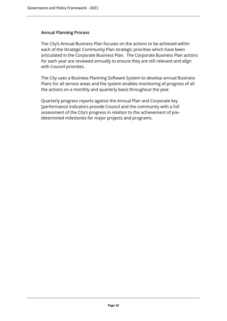#### Annual Planning Process

The City's Annual Business Plan focuses on the actions to be achieved within each of the Strategic Community Plan strategic priorities which have been articulated in the Corporate Business Plan. The Corporate Business Plan actions for each year are reviewed annually to ensure they are still relevant and align with Council priorities.

The City uses a Business Planning Software System to develop annual Business Plans for all service areas and the system enables monitoring of progress of all the actions on a monthly and quarterly basis throughout the year.

Quarterly progress reports against the Annual Plan and Corporate key [performance Indicators provide Council and the community with a full assessment of the City's progress in relation to the achievement of predetermined milestones for major projects and programs.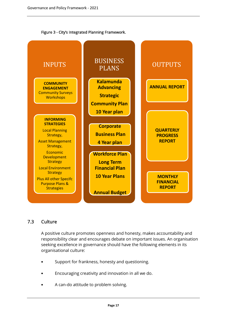



# 7.3 Culture

A positive culture promotes openness and honesty, makes accountability and responsibility clear and encourages debate on important issues. An organisation seeking excellence in governance should have the following elements in its organisational culture:

- Support for frankness, honesty and questioning.
- Encouraging creativity and innovation in all we do.
- A can-do attitude to problem solving.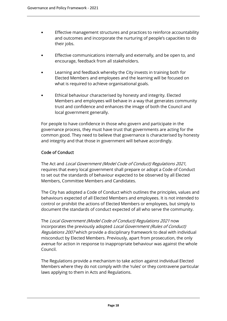- Effective management structures and practices to reinforce accountability and outcomes and incorporate the nurturing of people's capacities to do their jobs.
- Effective communications internally and externally, and be open to, and encourage, feedback from all stakeholders.
- Learning and feedback whereby the City invests in training both for Elected Members and employees and the learning will be focused on what is required to achieve organisational goals.
- Ethical behaviour characterised by honesty and integrity. Elected Members and employees will behave in a way that generates community trust and confidence and enhances the image of both the Council and local government generally.

For people to have confidence in those who govern and participate in the governance process, they must have trust that governments are acting for the common good. They need to believe that governance is characterised by honesty and integrity and that those in government will behave accordingly.

# Code of Conduct

The Act and Local Government (Model Code of Conduct) Regulations 2021, requires that every local government shall prepare or adopt a Code of Conduct to set out the standards of behaviour expected to be observed by all Elected Members, Committee Members and Candidates.

The City has adopted a Code of Conduct which outlines the principles, values and behaviours expected of all Elected Members and employees. It is not intended to control or prohibit the actions of Elected Members or employees, but simply to document the standards of conduct expected of all who serve the community.

The Local Government (Model Code of Conduct) Regulations 2021 now incorporates the previously adopted Local Government (Rules of Conduct) Regulations 2007 which provide a disciplinary framework to deal with individual misconduct by Elected Members. Previously, apart from prosecution, the only avenue for action in response to inappropriate behaviour was against the whole Council.

The Regulations provide a mechanism to take action against individual Elected Members where they do not comply with the 'rules' or they contravene particular laws applying to them in Acts and Regulations.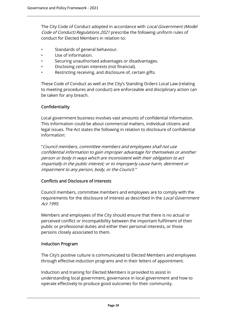The City Code of Conduct adopted in accordance with *Local Government (Model* Code of Conduct) Regulations 2021 prescribe the following uniform rules of conduct for Elected Members in relation to:

- Standards of general behaviour.
- Use of information.
- Securing unauthorised advantages or disadvantages.
- Disclosing certain interests (not financial).
- Restricting receiving, and disclosure of, certain gifts.

These Code of Conduct as well as the City's Standing Orders Local Law (relating to meeting procedures and conduct) are enforceable and disciplinary action can be taken for any breach.

## Confidentiality

Local government business involves vast amounts of confidential information. This information could be about commercial matters, individual citizens and legal issues. The Act states the following in relation to disclosure of confidential information:

"Council members, committee members and employees shall not use confidential information to gain improper advantage for themselves or another person or body in ways which are inconsistent with their obligation to act impartially in the public interest; or to improperly cause harm, detriment or impairment to any person, body, or the Council."

#### Conflicts and Disclosure of Interests

Council members, committee members and employees are to comply with the requirements for the disclosure of interest as described in the Local Government Act 1995.

Members and employees of the City should ensure that there is no actual or perceived conflict or incompatibility between the important fulfilment of their public or professional duties and either their personal interests, or those persons closely associated to them.

#### Induction Program

The City's positive culture is communicated to Elected Members and employees through effective induction programs and in their letters of appointment.

Induction and training for Elected Members is provided to assist in understanding local government, governance in local government and how to operate effectively to produce good outcomes for their community.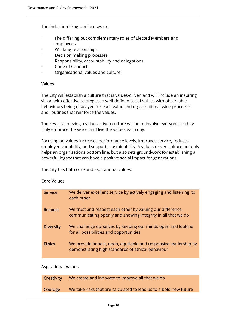The Induction Program focuses on:

- The differing but complementary roles of Elected Members and employees.
- Working relationships.
- Decision making processes.
- Responsibility, accountability and delegations.
- Code of Conduct.
- Organisational values and culture

#### Values

The City will establish a culture that is values-driven and will include an inspiring vision with effective strategies, a well-defined set of values with observable behaviours being displayed for each value and organisational wide processes and routines that reinforce the values.

The key to achieving a values driven culture will be to involve everyone so they truly embrace the vision and live the values each day.

Focusing on values increases performance levels, improves service, reduces employee variability, and supports sustainability. A values-driven culture not only helps an organisations bottom line, but also sets groundwork for establishing a powerful legacy that can have a positive social impact for generations.

The City has both core and aspirational values:

#### Core Values

| Service          | We deliver excellent service by actively engaging and listening to<br>each other                                           |
|------------------|----------------------------------------------------------------------------------------------------------------------------|
| <b>Respect</b>   | We trust and respect each other by valuing our difference,<br>communicating openly and showing integrity in all that we do |
| <b>Diversity</b> | We challenge ourselves by keeping our minds open and looking<br>for all possibilities and opportunities                    |
| <b>Ethics</b>    | We provide honest, open, equitable and responsive leadership by<br>demonstrating high standards of ethical behaviour       |

#### Aspirational Values

| Creativity | We create and innovate to improve all that we do                  |
|------------|-------------------------------------------------------------------|
| Courage    | We take risks that are calculated to lead us to a bold new future |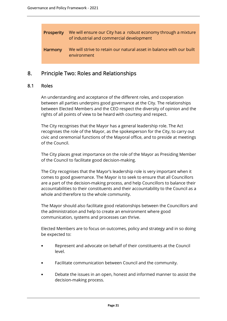| Prosperity | We will ensure our City has a robust economy through a mixture<br>of industrial and commercial development |
|------------|------------------------------------------------------------------------------------------------------------|
| Harmony    | We will strive to retain our natural asset in balance with our built<br>environment                        |

# 8. Principle Two: Roles and Relationships

#### 8.1 Roles

An understanding and acceptance of the different roles, and cooperation between all parties underpins good governance at the City. The relationships between Elected Members and the CEO respect the diversity of opinion and the rights of all points of view to be heard with courtesy and respect.

The City recognises that the Mayor has a general leadership role. The Act recognises the role of the Mayor, as the spokesperson for the City, to carry out civic and ceremonial functions of the Mayoral office, and to preside at meetings of the Council.

The City places great importance on the role of the Mayor as Presiding Member of the Council to facilitate good decision-making.

The City recognises that the Mayor's leadership role is very important when it comes to good governance. The Mayor is to seek to ensure that all Councillors are a part of the decision-making process, and help Councillors to balance their accountabilities to their constituents and their accountability to the Council as a whole and therefore to the whole community.

The Mayor should also facilitate good relationships between the Councillors and the administration and help to create an environment where good communication, systems and processes can thrive.

Elected Members are to focus on outcomes, policy and strategy and in so doing be expected to:

- Represent and advocate on behalf of their constituents at the Council level.
- Facilitate communication between Council and the community.
- Debate the issues in an open, honest and informed manner to assist the decision-making process.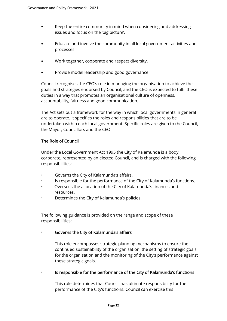- Keep the entire community in mind when considering and addressing issues and focus on the 'big picture'.
- Educate and involve the community in all local government activities and processes.
- Work together, cooperate and respect diversity.
- Provide model leadership and good governance.

Council recognises the CEO's role in managing the organisation to achieve the goals and strategies endorsed by Council, and the CEO is expected to fulfil these duties in a way that promotes an organisational culture of openness, accountability, fairness and good communication.

The Act sets out a framework for the way in which local governments in general are to operate. It specifies the roles and responsibilities that are to be undertaken within each local government. Specific roles are given to the Council, the Mayor, Councillors and the CEO.

#### The Role of Council

Under the Local Government Act 1995 the City of Kalamunda is a body corporate, represented by an elected Council, and is charged with the following responsibilities:

- Governs the City of Kalamunda's affairs.
- Is responsible for the performance of the City of Kalamunda's functions.
- Oversees the allocation of the City of Kalamunda's finances and resources.
- Determines the City of Kalamunda's policies.

The following guidance is provided on the range and scope of these responsibilities:

#### • Governs the City of Kalamunda's affairs

This role encompasses strategic planning mechanisms to ensure the continued sustainability of the organisation, the setting of strategic goals for the organisation and the monitoring of the City's performance against these strategic goals.

• Is responsible for the performance of the City of Kalamunda's functions

This role determines that Council has ultimate responsibility for the performance of the City's functions. Council can exercise this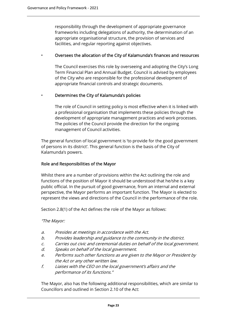responsibility through the development of appropriate governance frameworks including delegations of authority, the determination of an appropriate organisational structure, the provision of services and facilities, and regular reporting against objectives.

#### • Oversees the allocation of the City of Kalamunda's finances and resources

The Council exercises this role by overseeing and adopting the City's Long Term Financial Plan and Annual Budget. Council is advised by employees of the City who are responsible for the professional development of appropriate financial controls and strategic documents.

#### • Determines the City of Kalamunda's policies

The role of Council in setting policy is most effective when it is linked with a professional organisation that implements these policies through the development of appropriate management practices and work processes. The policies of the Council provide the direction for the ongoing management of Council activities.

The general function of local government is 'to provide for the good government of persons in its district'. This general function is the basis of the City of Kalamunda's powers.

#### Role and Responsibilities of the Mayor

Whilst there are a number of provisions within the Act outlining the role and functions of the position of Mayor it should be understood that he/she is a key public official. In the pursuit of good governance, from an internal and external perspective, the Mayor performs an important function. The Mayor is elected to represent the views and directions of the Council in the performance of the role.

Section 2.8(1) of the Act defines the role of the Mayor as follows:

"The Mayor:

- a. Presides at meetings in accordance with the Act.
- b. Provides leadership and guidance to the community in the district.
- c. Carries out civic and ceremonial duties on behalf of the local government.
- d. Speaks on behalf of the local government.
- e. Performs such other functions as are given to the Mayor or President by the Act or any other written law.
- f. Liaises with the CEO on the local government's affairs and the performance of its functions."

The Mayor, also has the following additional responsibilities, which are similar to Councillors and outlined in Section 2.10 of the Act: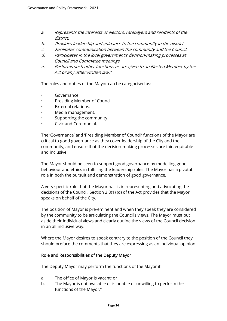- a. Represents the interests of electors, ratepayers and residents of the district.
- b. Provides leadership and guidance to the community in the district.
- c. Facilitates communication between the community and the Council.
- d. Participates in the local government's decision-making processes at Council and Committee meetings.
- e. Performs such other functions as are given to an Elected Member by the Act or any other written law."

The roles and duties of the Mayor can be categorised as:

- Governance.
- Presiding Member of Council.
- External relations.
- Media management.
- Supporting the community.
- Civic and Ceremonial.

The 'Governance' and 'Presiding Member of Council' functions of the Mayor are critical to good governance as they cover leadership of the City and the community, and ensure that the decision-making processes are fair, equitable and inclusive.

The Mayor should be seen to support good governance by modelling good behaviour and ethics in fulfilling the leadership roles. The Mayor has a pivotal role in both the pursuit and demonstration of good governance.

A very specific role that the Mayor has is in representing and advocating the decisions of the Council. Section 2.8(1) (d) of the Act provides that the Mayor speaks on behalf of the City.

The position of Mayor is pre-eminent and when they speak they are considered by the community to be articulating the Council's views. The Mayor must put aside their individual views and clearly outline the views of the Council decision in an all-inclusive way.

Where the Mayor desires to speak contrary to the position of the Council they should preface the comments that they are expressing as an individual opinion.

#### Role and Responsibilities of the Deputy Mayor

The Deputy Mayor may perform the functions of the Mayor if:

- a. The office of Mayor is vacant; or
- b. The Mayor is not available or is unable or unwilling to perform the functions of the Mayor."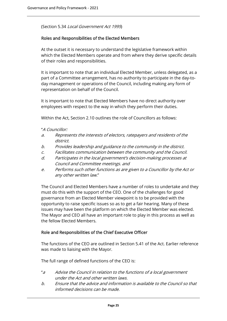(Section 5.34 Local Government Act 1995)

#### Roles and Responsibilities of the Elected Members

At the outset it is necessary to understand the legislative framework within which the Elected Members operate and from where they derive specific details of their roles and responsibilities.

It is important to note that an individual Elected Member, unless delegated, as a part of a Committee arrangement, has no authority to participate in the day-today management or operations of the Council, including making any form of representation on behalf of the Council.

It is important to note that Elected Members have no direct authority over employees with respect to the way in which they perform their duties.

Within the Act, Section 2.10 outlines the role of Councillors as follows:

- "A Councillor:
- a. Represents the interests of electors, ratepayers and residents of the district.
- b. Provides leadership and guidance to the community in the district.
- c. Facilitates communication between the community and the Council.
- d. Participates in the local government's decision-making processes at Council and Committee meetings. and
- e. Performs such other functions as are given to a Councillor by the Act or any other written law."

The Council and Elected Members have a number of roles to undertake and they must do this with the support of the CEO. One of the challenges for good governance from an Elected Member viewpoint is to be provided with the opportunity to raise specific issues so as to get a fair hearing. Many of these issues may have been the platform on which the Elected Member was elected. The Mayor and CEO all have an important role to play in this process as well as the fellow Elected Members.

#### Role and Responsibilities of the Chief Executive Officer

The functions of the CEO are outlined in Section 5.41 of the Act. Earlier reference was made to liaising with the Mayor.

The full range of defined functions of the CEO is:

- "a Advise the Council in relation to the functions of a local government under the Act and other written laws.
- b. Ensure that the advice and information is available to the Council so that informed decisions can be made.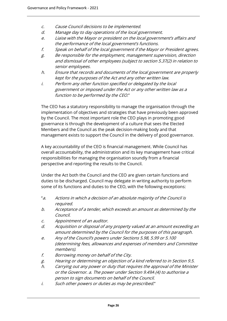- c. Cause Council decisions to be implemented.
- d. Manage day to day operations of the local government.
- e. Liaise with the Mayor or president on the local government's affairs and the performance of the local government's functions.
- f. Speak on behalf of the local government if the Mayor or President agrees.
- g. Be responsible for the employment, management supervision, direction and dismissal of other employees (subject to section 5.37(2) in relation to senior employees.
- h. Ensure that records and documents of the local government are properly kept for the purposes of the Act and any other written law.
- i. Perform any other function specified or delegated by the local government or imposed under the Act or any other written law as a function to be performed by the CEO."

The CEO has a statutory responsibility to manage the organisation through the implementation of objectives and strategies that have previously been approved by the Council. The most important role the CEO plays in promoting good governance is through the development of a culture that sees the Elected Members and the Council as the peak decision-making body and that management exists to support the Council in the delivery of good governance.

A key accountability of the CEO is financial management. While Council has overall accountability, the administration and its key management have critical responsibilities for managing the organisation soundly from a financial perspective and reporting the results to the Council.

Under the Act both the Council and the CEO are given certain functions and duties to be discharged. Council may delegate in writing authority to perform some of its functions and duties to the CEO, with the following exceptions:

- "a. Actions in which a decision of an absolute majority of the Council is required.
- b. Acceptance of a tender, which exceeds an amount as determined by the Council.
- c. Appointment of an auditor.
- d. Acquisition or disposal of any property valued at an amount exceeding an amount determined by the Council for the purposes of this paragraph.
- e. Any of the Council's powers under Sections 5.98, 5.99 or 5.100 (determining fees, allowances and expenses of members and Committee members).
- f. Borrowing money on behalf of the City.
- g. Hearing or determining an objection of a kind referred to in Section 9.5.
- h. Carrying out any power or duty that requires the approval of the Minister or the Governor. a. The power under Section 9.49A (4) to authorise a person to sign documents on behalf of the Council.
- i. Such other powers or duties as may be prescribed."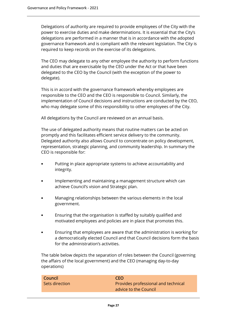Delegations of authority are required to provide employees of the City with the power to exercise duties and make determinations. It is essential that the City's delegations are performed in a manner that is in accordance with the adopted governance framework and is compliant with the relevant legislation. The City is required to keep records on the exercise of its delegations.

The CEO may delegate to any other employee the authority to perform functions and duties that are exercisable by the CEO under the Act or that have been delegated to the CEO by the Council (with the exception of the power to delegate).

This is in accord with the governance framework whereby employees are responsible to the CEO and the CEO is responsible to Council. Similarly, the implementation of Council decisions and instructions are conducted by the CEO, who may delegate some of this responsibility to other employees of the City.

All delegations by the Council are reviewed on an annual basis.

The use of delegated authority means that routine matters can be acted on promptly and this facilitates efficient service delivery to the community. Delegated authority also allows Council to concentrate on policy development, representation, strategic planning, and community leadership. In summary the CEO is responsible for:

- Putting in place appropriate systems to achieve accountability and integrity.
- Implementing and maintaining a management structure which can achieve Council's vision and Strategic plan.
- Managing relationships between the various elements in the local government.
- Ensuring that the organisation is staffed by suitably qualified and motivated employees and policies are in place that promotes this.
- Ensuring that employees are aware that the administration is working for a democratically elected Council and that Council decisions form the basis for the administration's activities.

The table below depicts the separation of roles between the Council (governing the affairs of the local government) and the CEO (managing day-to-day operations)

| Council        | <b>CEO</b>                          |
|----------------|-------------------------------------|
| Sets direction | Provides professional and technical |
|                | advice to the Council               |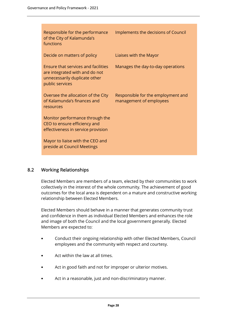| Responsible for the performance<br>of the City of Kalamunda's<br>functions                                                       | Implements the decisions of Council                           |
|----------------------------------------------------------------------------------------------------------------------------------|---------------------------------------------------------------|
| Decide on matters of policy                                                                                                      | Liaises with the Mayor                                        |
| <b>Ensure that services and facilities</b><br>are integrated with and do not<br>unnecessarily duplicate other<br>public services | Manages the day-to-day operations                             |
| Oversee the allocation of the City<br>of Kalamunda's finances and<br>resources                                                   | Responsible for the employment and<br>management of employees |
| Monitor performance through the<br>CEO to ensure efficiency and<br>effectiveness in service provision                            |                                                               |
| Mayor to liaise with the CEO and<br>preside at Council Meetings                                                                  |                                                               |

# 8.2 Working Relationships

Elected Members are members of a team, elected by their communities to work collectively in the interest of the whole community. The achievement of good outcomes for the local area is dependent on a mature and constructive working relationship between Elected Members.

Elected Members should behave in a manner that generates community trust and confidence in them as individual Elected Members and enhances the role and image of both the Council and the local government generally. Elected Members are expected to:

- Conduct their ongoing relationship with other Elected Members, Council employees and the community with respect and courtesy.
- Act within the law at all times.
- Act in good faith and not for improper or ulterior motives.
- Act in a reasonable, just and non-discriminatory manner.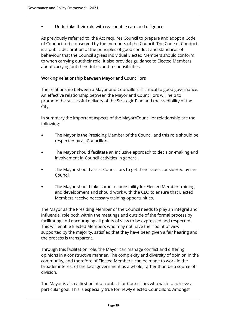• Undertake their role with reasonable care and diligence.

As previously referred to, the Act requires Council to prepare and adopt a Code of Conduct to be observed by the members of the Council. The Code of Conduct is a public declaration of the principles of good conduct and standards of behaviour that the Council agrees individual Elected Members should conform to when carrying out their role. It also provides guidance to Elected Members about carrying out their duties and responsibilities.

## Working Relationship between Mayor and Councillors

The relationship between a Mayor and Councillors is critical to good governance. An effective relationship between the Mayor and Councillors will help to promote the successful delivery of the Strategic Plan and the credibility of the City.

In summary the important aspects of the Mayor/Councillor relationship are the following:

- The Mayor is the Presiding Member of the Council and this role should be respected by all Councillors.
- The Mayor should facilitate an inclusive approach to decision-making and involvement in Council activities in general.
- The Mayor should assist Councillors to get their issues considered by the Council.
- The Mayor should take some responsibility for Elected Member training and development and should work with the CEO to ensure that Elected Members receive necessary training opportunities.

The Mayor as the Presiding Member of the Council needs to play an integral and influential role both within the meetings and outside of the formal process by facilitating and encouraging all points of view to be expressed and respected. This will enable Elected Members who may not have their point of view supported by the majority, satisfied that they have been given a fair hearing and the process is transparent.

Through this facilitation role, the Mayor can manage conflict and differing opinions in a constructive manner. The complexity and diversity of opinion in the community, and therefore of Elected Members, can be made to work in the broader interest of the local government as a whole, rather than be a source of division.

The Mayor is also a first point of contact for Councillors who wish to achieve a particular goal. This is especially true for newly elected Councillors. Amongst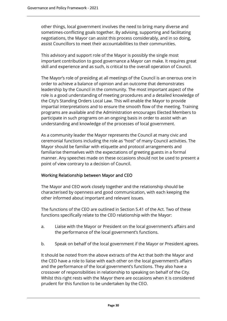other things, local government involves the need to bring many diverse and sometimes-conflicting goals together. By advising, supporting and facilitating negotiations, the Mayor can assist this process considerably, and in so doing, assist Councillors to meet their accountabilities to their communities.

This advisory and support role of the Mayor is possibly the single most important contribution to good governance a Mayor can make. It requires great skill and experience and as such, is critical to the overall operation of Council.

The Mayor's role of presiding at all meetings of the Council is an onerous one in order to achieve a balance of opinion and an outcome that demonstrates leadership by the Council in the community. The most important aspect of the role is a good understanding of meeting procedures and a detailed knowledge of the City's Standing Orders Local Law. This will enable the Mayor to provide impartial interpretations and to ensure the smooth flow of the meeting. Training programs are available and the Administration encourages Elected Members to participate in such programs on an ongoing basis in order to assist with an understanding and knowledge of the processes of local government.

As a community leader the Mayor represents the Council at many civic and ceremonial functions including the role as "host" of many Council activities. The Mayor should be familiar with etiquette and protocol arrangements and familiarise themselves with the expectations of greeting guests in a formal manner. Any speeches made on these occasions should not be used to present a point of view contrary to a decision of Council.

# Working Relationship between Mayor and CEO

The Mayor and CEO work closely together and the relationship should be characterised by openness and good communication, with each keeping the other informed about important and relevant issues.

The functions of the CEO are outlined in Section 5.41 of the Act. Two of these functions specifically relate to the CEO relationship with the Mayor:

- a. Liaise with the Mayor or President on the local government's affairs and the performance of the local government's functions.
- b. Speak on behalf of the local government if the Mayor or President agrees.

It should be noted from the above extracts of the Act that both the Mayor and the CEO have a role to liaise with each other on the local government's affairs and the performance of the local government's functions. They also have a crossover of responsibilities in relationship to speaking on behalf of the City. Whilst this right rests with the Mayor there are occasions when it is considered prudent for this function to be undertaken by the CEO.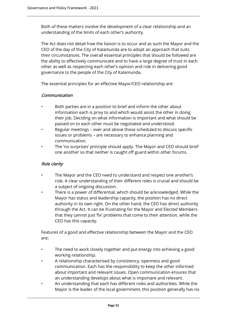Both of these matters involve the development of a clear relationship and an understanding of the limits of each other's authority.

The Act does not detail how the liaison is to occur and as such the Mayor and the CEO of the day of the City of Kalamunda are to adopt an approach that suits their circumstances. The overall essential principles that should be followed are the ability to effectively communicate and to have a large degree of trust in each other as well as respecting each other's opinion and role in delivering good governance to the people of the City of Kalamunda.

The essential principles for an effective Mayor/CEO relationship are:

#### Communication

- Both parties are in a position to brief and inform the other about information each is privy to and which would assist the other in doing their job. Deciding on what information is important and what should be passed on to each other must be negotiated and understood.
- Regular meetings over and above those scheduled to discuss specific issues or problems – are necessary to enhance planning and communication.
- The 'no surprises' principle should apply. The Mayor and CEO should brief one another so that neither is caught off guard within other forums.

#### Role clarity

- The Mayor and the CEO need to understand and respect one another's role. A clear understanding of their different roles is crucial and should be a subject of ongoing discussion.
- There is a power of differential, which should be acknowledged. While the Mayor has status and leadership capacity, the position has no direct authority in its own right. On the other hand, the CEO has direct authority through the Act. It can be frustrating for the Mayor and Elected Members that they cannot just 'fix' problems that come to their attention, while the CEO has this capacity.

Features of a good and effective relationship between the Mayor and the CEO are:

- The need to work closely together and put energy into achieving a good working relationship.
- A relationship characterised by consistency, openness and good communication. Each has the responsibility to keep the other informed about important and relevant issues. Open communication ensures that an understanding develops about what is important and relevant.
- An understanding that each has different roles and authorities. While the Mayor is the leader of the local government, this position generally has no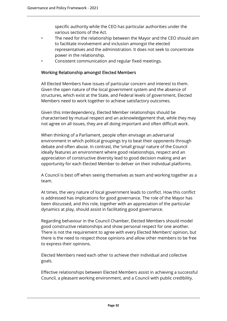specific authority while the CEO has particular authorities under the various sections of the Act.

- The need for the relationship between the Mayor and the CEO should aim to facilitate involvement and inclusion amongst the elected representatives and the administration. It does not seek to concentrate power in the relationship.
- Consistent communication and regular fixed meetings.

#### Working Relationship amongst Elected Members

All Elected Members have issues of particular concern and interest to them. Given the open nature of the local government system and the absence of structures, which exist at the State, and Federal levels of government, Elected Members need to work together to achieve satisfactory outcomes.

Given this interdependency, Elected Member relationships should be characterised by mutual respect and an acknowledgement that, while they may not agree on all issues, they are all doing important and often difficult work.

When thinking of a Parliament, people often envisage an adversarial environment in which political groupings try to beat their opponents through debate and often abuse. In contrast, the 'small group' nature of the Council ideally features an environment where good relationships, respect and an appreciation of constructive diversity lead to good decision making and an opportunity for each Elected Member to deliver on their individual platforms.

A Council is best off when seeing themselves as team and working together as a team.

At times, the very nature of local government leads to conflict. How this conflict is addressed has implications for good governance. The role of the Mayor has been discussed, and this role, together with an appreciation of the particular dynamics at play, should assist in facilitating good governance.

Regarding behaviour in the Council Chamber, Elected Members should model good constructive relationships and show personal respect for one another. There is not the requirement to agree with every Elected Members' opinion, but there is the need to respect those opinions and allow other members to be free to express their opinions.

Elected Members need each other to achieve their individual and collective goals.

Effective relationships between Elected Members assist in achieving a successful Council, a pleasant working environment, and a Council with public credibility.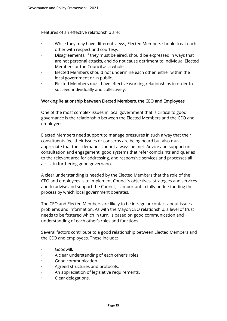Features of an effective relationship are:

- While they may have different views, Elected Members should treat each other with respect and courtesy.
- Disagreements, if they must be aired, should be expressed in ways that are not personal attacks, and do not cause detriment to individual Elected Members or the Council as a whole.
- Elected Members should not undermine each other, either within the local government or in public.
- Elected Members must have effective working relationships in order to succeed individually and collectively.

#### Working Relationship between Elected Members, the CEO and Employees

One of the most complex issues in local government that is critical to good governance is the relationship between the Elected Members and the CEO and employees.

Elected Members need support to manage pressures in such a way that their constituents feel their issues or concerns are being heard but also must appreciate that their demands cannot always be met. Advice and support on consultation and engagement, good systems that refer complaints and queries to the relevant area for addressing, and responsive services and processes all assist in furthering good governance.

A clear understanding is needed by the Elected Members that the role of the CEO and employees is to implement Council's objectives, strategies and services and to advise and support the Council, is important in fully understanding the process by which local government operates.

The CEO and Elected Members are likely to be in regular contact about issues, problems and information. As with the Mayor/CEO relationship, a level of trust needs to be fostered which in turn, is based on good communication and understanding of each other's roles and functions.

Several factors contribute to a good relationship between Elected Members and the CEO and employees. These include:

- Goodwill.
- A clear understanding of each other's roles.
- Good communication.
- Agreed structures and protocols.
- An appreciation of legislative requirements.
- Clear delegations.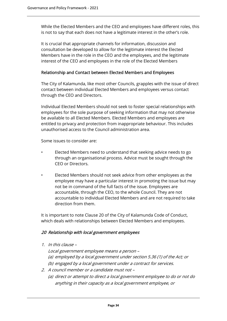While the Elected Members and the CEO and employees have different roles, this is not to say that each does not have a legitimate interest in the other's role.

It is crucial that appropriate channels for information, discussion and consultation be developed to allow for the legitimate interest the Elected Members have in the role in the CEO and the employees, and the legitimate interest of the CEO and employees in the role of the Elected Members

#### Relationship and Contact between Elected Members and Employees

The City of Kalamunda, like most other Councils, grapples with the issue of direct contact between individual Elected Members and employees versus contact through the CEO and Directors.

Individual Elected Members should not seek to foster special relationships with employees for the sole purpose of seeking information that may not otherwise be available to all Elected Members. Elected Members and employees are entitled to privacy and protection from inappropriate behaviour. This includes unauthorised access to the Council administration area.

Some issues to consider are:

- Elected Members need to understand that seeking advice needs to go through an organisational process. Advice must be sought through the CEO or Directors.
- Elected Members should not seek advice from other employees as the employee may have a particular interest in promoting the issue but may not be in command of the full facts of the issue. Employees are accountable, through the CEO, to the whole Council. They are not accountable to individual Elected Members and are not required to take direction from them.

It is important to note Clause 20 of the City of Kalamunda Code of Conduct, which deals with relationships between Elected Members and employees.

#### 20 Relationship with local government employees

- 1. In this clause
	- Local government employee means a person –
	- (a) employed by a local government under section 5.36 (1) of the Act; or
	- (b) engaged by a local government under a contract for services.
- 2. A council member or a candidate must not
	- (a) direct or attempt to direct a local government employee to do or not do anything in their capacity as a local government employee, or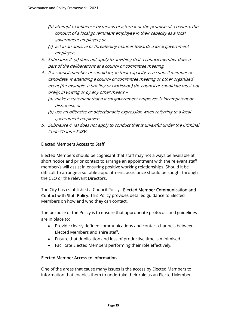- (b) attempt to influence by means of a threat or the promise of a reward, the conduct of a local government employee in their capacity as a local government employee; or
- (c) act in an abusive or threatening manner towards a local government employee.
- 3. Subclause 2. (a) does not apply to anything that a council member does a part of the deliberations at a council or committee meeting.
- 4. If a council member or candidate, in their capacity as a council member or candidate, is attending a council or committee meeting or other organised event (for example, a briefing or workshop) the council or candidate must not orally, in writing or by any other means –
	- (a) make a statement that a local government employee is incompetent or dishonest; or
	- (b) use an offensive or objectionable expression when referring to a local government employee.
- 5. Subclause 4. (a) does not apply to conduct that is unlawful under the Criminal Code Chapter XXXV.

# Elected Members Access to Staff

Elected Members should be cognisant that staff may not always be available at short notice and prior contact to arrange an appointment with the relevant staff member/s will assist in ensuring positive working relationships. Should it be difficult to arrange a suitable appointment, assistance should be sought through the CEO or the relevant Directors.

The City has established a Council Policy - Elected Member Communication and Contact with Staff Policy. This Policy provides detailed guidance to Elected Members on how and who they can contact.

The purpose of the Policy is to ensure that appropriate protocols and guidelines are in place to:

- Provide clearly defined communications and contact channels between Elected Members and shire staff.
- Ensure that duplication and loss of productive time is minimised.
- Facilitate Elected Members performing their role effectively.

# Elected Member Access to Information

One of the areas that cause many issues is the access by Elected Members to information that enables them to undertake their role as an Elected Member.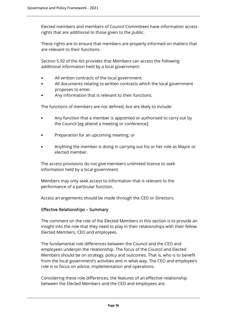Elected members and members of Council Committees have information access rights that are additional to those given to the public.

These rights are to ensure that members are properly informed on matters that are relevant to their functions.

Section 5.92 of the Act provides that Members can access the following additional information held by a local government:

- All written contracts of the local government.
- All documents relating to written contracts which the local government proposes to enter.
- Any information that is relevant to their functions.

The functions of members are not defined, but are likely to include:

- Any function that a member is appointed or authorised to carry out by the Council [eg attend a meeting or conference];
- Preparation for an upcoming meeting; or
- Anything the member is doing in carrying out his or her role as Mayor or elected member.

The access provisions do not give members unlimited licence to seek information held by a local government.

Members may only seek access to information that is relevant to the performance of a particular function.

Access arrangements should be made through the CEO or Directors.

#### Effective Relationships – Summary

The comment on the role of the Elected Members in this section is to provide an insight into the role that they need to play in their relationships with their fellow Elected Members, CEO and employees.

The fundamental role differences between the Council and the CEO and employees underpin the relationship. The focus of the Council and Elected Members should be on strategy, policy and outcomes. That is, who is to benefit from the local government's activities and in what way. The CEO and employee's role is to focus on advice, implementation and operations.

Considering these role differences, the features of an effective relationship between the Elected Members and the CEO and employees are: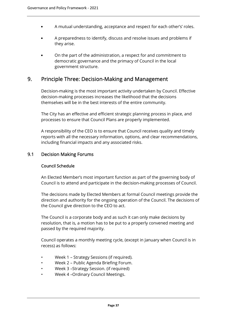- A mutual understanding, acceptance and respect for each other's' roles.
- A preparedness to identify, discuss and resolve issues and problems if they arise.
- On the part of the administration, a respect for and commitment to democratic governance and the primacy of Council in the local government structure.

# 9. Principle Three: Decision-Making and Management

Decision-making is the most important activity undertaken by Council. Effective decision-making processes increases the likelihood that the decisions themselves will be in the best interests of the entire community.

The City has an effective and efficient strategic planning process in place, and processes to ensure that Council Plans are properly implemented.

A responsibility of the CEO is to ensure that Council receives quality and timely reports with all the necessary information, options, and clear recommendations, including financial impacts and any associated risks.

# 9.1 Decision Making Forums

#### Council Schedule

An Elected Member's most important function as part of the governing body of Council is to attend and participate in the decision-making processes of Council.

The decisions made by Elected Members at formal Council meetings provide the direction and authority for the ongoing operation of the Council. The decisions of the Council give direction to the CEO to act.

The Council is a corporate body and as such it can only make decisions by resolution, that is, a motion has to be put to a properly convened meeting and passed by the required majority.

Council operates a monthly meeting cycle, (except in January when Council is in recess) as follows:

- Week 1 Strategy Sessions (if required).
- Week 2 Public Agenda Briefing Forum.
- Week 3 –Strategy Session. (if required)
- Week 4 –Ordinary Council Meetings.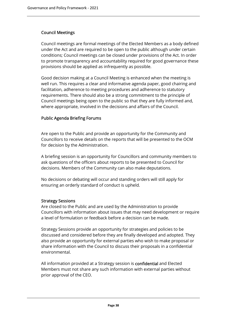# Council Meetings

Council meetings are formal meetings of the Elected Members as a body defined under the Act and are required to be open to the public although under certain conditions; Council meetings can be closed under provisions of the Act. In order to promote transparency and accountability required for good governance these provisions should be applied as infrequently as possible.

Good decision making at a Council Meeting is enhanced when the meeting is well run. This requires a clear and informative agenda paper, good chairing and facilitation, adherence to meeting procedures and adherence to statutory requirements. There should also be a strong commitment to the principle of Council meetings being open to the public so that they are fully informed and, where appropriate, involved in the decisions and affairs of the Council.

## Public Agenda Briefing Forums

Are open to the Public and provide an opportunity for the Community and Councillors to receive details on the reports that will be presented to the OCM for decision by the Administration.

A briefing session is an opportunity for Councillors and community members to ask questions of the officers about reports to be presented to Council for decisions. Members of the Community can also make deputations.

No decisions or debating will occur and standing orders will still apply for ensuring an orderly standard of conduct is upheld.

#### Strategy Sessions

Are closed to the Public and are used by the Administration to provide Councillors with information about issues that may need development or require a level of formulation or feedback before a decision can be made.

Strategy Sessions provide an opportunity for strategies and policies to be discussed and considered before they are finally developed and adopted. They also provide an opportunity for external parties who wish to make proposal or share information with the Council to discuss their proposals in a confidential environmental.

All information provided at a Strategy session is confidential and Elected Members must not share any such information with external parties without prior approval of the CEO.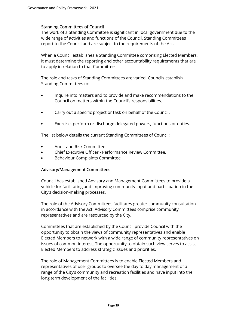#### Standing Committees of Council

The work of a Standing Committee is significant in local government due to the wide range of activities and functions of the Council. Standing Committees report to the Council and are subject to the requirements of the Act.

When a Council establishes a Standing Committee comprising Elected Members, it must determine the reporting and other accountability requirements that are to apply in relation to that Committee.

The role and tasks of Standing Committees are varied. Councils establish Standing Committees to:

- Inquire into matters and to provide and make recommendations to the Council on matters within the Council's responsibilities.
- Carry out a specific project or task on behalf of the Council.
- Exercise, perform or discharge delegated powers, functions or duties.

The list below details the current Standing Committees of Council:

- Audit and Risk Committee.
- Chief Executive Officer Performance Review Committee.
- Behaviour Complaints Committee

#### Advisory/Management Committees

Council has established Advisory and Management Committees to provide a vehicle for facilitating and improving community input and participation in the City's decision-making processes.

The role of the Advisory Committees facilitates greater community consultation in accordance with the Act. Advisory Committees comprise community representatives and are resourced by the City.

Committees that are established by the Council provide Council with the opportunity to obtain the views of community representatives and enable Elected Members to network with a wide range of community representatives on issues of common interest. The opportunity to obtain such view serves to assist Elected Members to address strategic issues and priorities.

The role of Management Committees is to enable Elected Members and representatives of user groups to oversee the day to day management of a range of the City's community and recreation facilities and have input into the long term development of the facilities.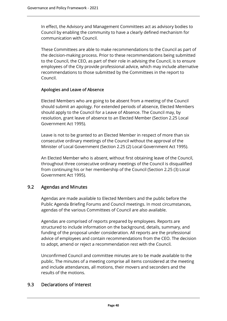In effect, the Advisory and Management Committees act as advisory bodies to Council by enabling the community to have a clearly defined mechanism for communication with Council.

These Committees are able to make recommendations to the Council as part of the decision-making process. Prior to these recommendations being submitted to the Council, the CEO, as part of their role in advising the Council, is to ensure employees of the City provide professional advice, which may include alternative recommendations to those submitted by the Committees in the report to Council.

#### Apologies and Leave of Absence

Elected Members who are going to be absent from a meeting of the Council should submit an apology. For extended periods of absence, Elected Members should apply to the Council for a Leave of Absence. The Council may, by resolution, grant leave of absence to an Elected Member (Section 2.25 Local Government Act 1995).

Leave is not to be granted to an Elected Member in respect of more than six consecutive ordinary meetings of the Council without the approval of the Minister of Local Government (Section 2.25 (2) Local Government Act 1995).

An Elected Member who is absent, without first obtaining leave of the Council, throughout three consecutive ordinary meetings of the Council is disqualified from continuing his or her membership of the Council (Section 2.25 (3) Local Government Act 1995).

# 9.2 Agendas and Minutes

Agendas are made available to Elected Members and the public before the Public Agenda Briefing Forums and Council meetings. In most circumstances, agendas of the various Committees of Council are also available.

Agendas are comprised of reports prepared by employees. Reports are structured to include information on the background, details, summary, and funding of the proposal under consideration. All reports are the professional advice of employees and contain recommendations from the CEO. The decision to adopt, amend or reject a recommendation rest with the Council.

Unconfirmed Council and committee minutes are to be made available to the public. The minutes of a meeting comprise all items considered at the meeting and include attendances, all motions, their movers and seconders and the results of the motions.

# 9.3 Declarations of Interest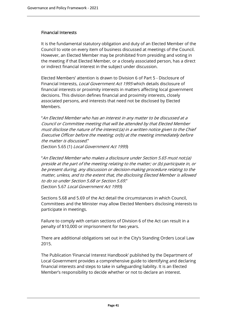#### Financial Interests

It is the fundamental statutory obligation and duty of an Elected Member of the Council to vote on every item of business discussed at meetings of the Council. However, an Elected Member may be prohibited from presiding and voting in the meeting if that Elected Member, or a closely associated person, has a direct or indirect financial interest in the subject under discussion.

Elected Members' attention is drawn to Division 6 of Part 5 - Disclosure of Financial Interests, Local Government Act 1995 which details disclosure of financial interests or proximity interests in matters affecting local government decisions. This division defines financial and proximity interests, closely associated persons, and interests that need not be disclosed by Elected Members.

"An Elected Member who has an interest in any matter to be discussed at a Council or Committee meeting that will be attended by that Elected Member must disclose the nature of the interest:(a) in a written notice given to the Chief Executive Officer before the meeting; or(b) at the meeting immediately before the matter is discussed." (Section 5.65 (1) Local Government Act 1995)

"An Elected Member who makes a disclosure under Section 5.65 must not:(a) preside at the part of the meeting relating to the matter; or (b) participate in, or be present during, any discussion or decision-making procedure relating to the matter, unless, and to the extent that, the disclosing Elected Member is allowed to do so under Section 5.68 or Section 5.69." (Section 5.67 Local Government Act 1995)

Sections 5.68 and 5.69 of the Act detail the circumstances in which Council, Committees and the Minister may allow Elected Members disclosing interests to participate in meetings.

Failure to comply with certain sections of Division 6 of the Act can result in a penalty of \$10,000 or imprisonment for two years.

There are additional obligations set out in the City's Standing Orders Local Law 2015.

The Publication 'Financial Interest Handbook' published by the Department of Local Government provides a comprehensive guide to identifying and declaring financial interests and steps to take in safeguarding liability. It is an Elected Member's responsibility to decide whether or not to declare an interest.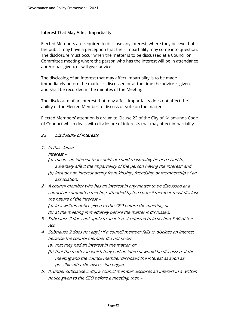### Interest That May Affect Impartiality

Elected Members are required to disclose any interest, where they believe that the public may have a perception that their impartiality may come into question. The disclosure must occur when the matter is to be discussed at a Council or Committee meeting where the person who has the interest will be in attendance and/or has given, or will give, advice.

The disclosing of an interest that may affect impartiality is to be made immediately before the matter is discussed or at the time the advice is given, and shall be recorded in the minutes of the Meeting.

The disclosure of an interest that may affect impartiality does not affect the ability of the Elected Member to discuss or vote on the matter.

Elected Members' attention is drawn to Clause 22 of the City of Kalamunda Code of Conduct which deals with disclosure of interests that may affect impartiality.

## 22 Disclosure of interests

1. In this clause –

#### Interest –

- (a) means an interest that could, or could reasonably be perceived to, adversely affect the impartiality of the person having the interest; and
- (b) includes an interest arsing from kinship, friendship or membership of an association.
- 2. A council member who has an interest in any matter to be discussed at a council or committee meeting attended by the council member must disclose the nature of the interest –
	- (a) in a written notice given to the CEO before the meeting; or
	- (b) at the meeting immediately before the matter is discussed.
- 3. Subclause 2 does not apply to an interest referred to in section 5.60 of the Act.
- 4. Subclause 2 does not apply if a council member fails to disclose an interest because the council member did not know –
	- (a) that they had an interest in the matter; or
	- (b) that the matter in which they had an interest would be discussed at the meeting and the council member disclosed the interest as soon as possible after the discussion began,
- 5. If, under subclause 2 9b), a council member discloses an interest in a written notice given to the CEO before a meeting, then –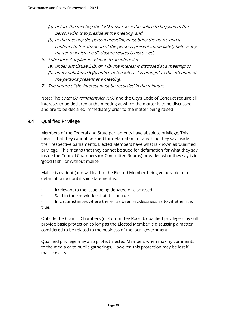- (a) before the meeting the CEO must cause the notice to be given to the person who is to preside at the meeting; and
- (b) at the meeting the person presiding must bring the notice and its contents to the attention of the persons present immediately before any matter to which the disclosure relates is discussed.
- 6. Subclause 7 applies in relation to an interest if (a) under subclause 2 (b) or 4 (b) the interest is disclosed at a meeting; or (b) under subclause 5 (b) notice of the interest is brought to the attention of
	- the persons present at a meeting.
- 7. The nature of the interest must be recorded in the minutes.

Note: The Local Government Act 1995 and the City's Code of Conduct require all interests to be declared at the meeting at which the matter is to be discussed, and are to be declared immediately prior to the matter being raised.

# 9.4 Qualified Privilege

Members of the Federal and State parliaments have absolute privilege. This means that they cannot be sued for defamation for anything they say inside their respective parliaments. Elected Members have what is known as 'qualified privilege'. This means that they cannot be sued for defamation for what they say inside the Council Chambers (or Committee Rooms) provided what they say is in 'good faith', or without malice.

Malice is evident (and will lead to the Elected Member being vulnerable to a defamation action) if said statement is:

- Irrelevant to the issue being debated or discussed.
- Said in the knowledge that it is untrue.
- In circumstances where there has been recklessness as to whether it is true.

Outside the Council Chambers (or Committee Room), qualified privilege may still provide basic protection so long as the Elected Member is discussing a matter considered to be related to the business of the local government.

Qualified privilege may also protect Elected Members when making comments to the media or to public gatherings. However, this protection may be lost if malice exists.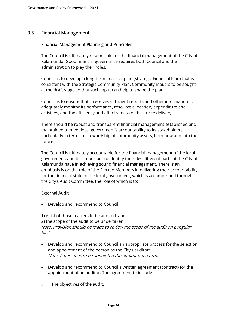# 9.5 Financial Management

### Financial Management Planning and Principles

The Council is ultimately responsible for the financial management of the City of Kalamunda. Good financial governance requires both Council and the administration to play their roles.

Council is to develop a long-term financial plan (Strategic Financial Plan) that is consistent with the Strategic Community Plan. Community input is to be sought at the draft stage so that such input can help to shape the plan.

Council is to ensure that it receives sufficient reports and other information to adequately monitor its performance, resource allocation, expenditure and activities, and the efficiency and effectiveness of its service delivery.

There should be robust and transparent financial management established and maintained to meet local government's accountability to its stakeholders, particularly in terms of stewardship of community assets, both now and into the future.

The Council is ultimately accountable for the financial management of the local government, and it is important to identify the roles different parts of the City of Kalamunda have in achieving sound financial management. There is an emphasis is on the role of the Elected Members in delivering their accountability for the financial state of the local government, which is accomplished through the City's Audit Committee, the role of which is to:

# External Audit

Develop and recommend to Council:

1) A list of those matters to be audited; and 2) the scope of the audit to be undertaken; Note: Provision should be made to review the scope of the audit on a regular basis.

- Develop and recommend to Council an appropriate process for the selection and appointment of the person as the City's auditor; Note: A person is to be appointed the auditor not a firm.
- Develop and recommend to Council a written agreement (contract) for the appointment of an auditor. The agreement to include:
- i. The objectives of the audit.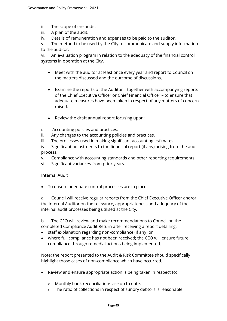- ii. The scope of the audit.
- iii. A plan of the audit.
- iv. Details of remuneration and expenses to be paid to the auditor.

v. The method to be used by the City to communicate and supply information to the auditor.

vi. An evaluation program in relation to the adequacy of the financial control systems in operation at the City.

- Meet with the auditor at least once every year and report to Council on the matters discussed and the outcome of discussions.
- Examine the reports of the Auditor together with accompanying reports of the Chief Executive Officer or Chief Financial Officer – to ensure that adequate measures have been taken in respect of any matters of concern raised.
- Review the draft annual report focusing upon:
- i. Accounting policies and practices.
- ii. Any changes to the accounting policies and practices.
- iii. The processes used in making significant accounting estimates.

iv. Significant adjustments to the financial report (if any) arising from the audit process.

- v. Compliance with accounting standards and other reporting requirements.
- vi. Significant variances from prior years.

#### Internal Audit

To ensure adequate control processes are in place:

a. Council will receive regular reports from the Chief Executive Officer and/or the Internal Auditor on the relevance, appropriateness and adequacy of the internal audit processes being utilised at the City.

b. The CEO will review and make recommendations to Council on the completed Compliance Audit Return after receiving a report detailing:

- staff explanation regarding non-compliance (if any) or
- where full compliance has not been received; the CEO will ensure future compliance through remedial actions being implemented.

Note: the report presented to the Audit & Risk Committee should specifically highlight those cases of non-compliance which have occurred.

- Review and ensure appropriate action is being taken in respect to:
	- o Monthly bank reconciliations are up to date.
	- o The ratio of collections in respect of sundry debtors is reasonable.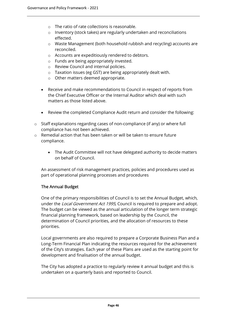- o The ratio of rate collections is reasonable.
- o Inventory (stock takes) are regularly undertaken and reconciliations effected.
- o Waste Management (both household rubbish and recycling) accounts are reconciled.
- o Accounts are expeditiously rendered to debtors.
- o Funds are being appropriately invested.
- o Review Council and internal policies.
- o Taxation issues (eg GST) are being appropriately dealt with.
- o Other matters deemed appropriate.
- Receive and make recommendations to Council in respect of reports from the Chief Executive Officer or the Internal Auditor which deal with such matters as those listed above.
- Review the completed Compliance Audit return and consider the following:
- o Staff explanations regarding cases of non-compliance (if any) or where full compliance has not been achieved.
- o Remedial action that has been taken or will be taken to ensure future compliance.
	- The Audit Committee will not have delegated authority to decide matters on behalf of Council.

An assessment of risk management practices, policies and procedures used as part of operational planning processes and procedures

#### The Annual Budget

One of the primary responsibilities of Council is to set the Annual Budget, which, under the *Local Government Act 1995*, Council is required to prepare and adopt. The budget can be viewed as the annual articulation of the longer term strategic financial planning framework, based on leadership by the Council, the determination of Council priorities, and the allocation of resources to these priorities.

Local governments are also required to prepare a Corporate Business Plan and a Long-Term Financial Plan indicating the resources required for the achievement of the City's strategies. Each year of these Plans are used as the starting point for development and finalisation of the annual budget.

The City has adopted a practice to regularly review it annual budget and this is undertaken on a quarterly basis and reported to Council.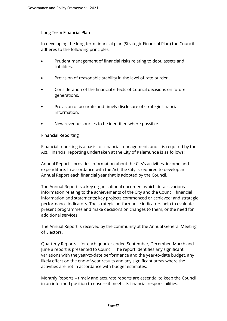## Long Term Financial Plan

In developing the long-term financial plan (Strategic Financial Plan) the Council adheres to the following principles:

- Prudent management of financial risks relating to debt, assets and liabilities.
- Provision of reasonable stability in the level of rate burden.
- Consideration of the financial effects of Council decisions on future generations.
- Provision of accurate and timely disclosure of strategic financial information.
- New revenue sources to be identified where possible.

#### Financial Reporting

Financial reporting is a basis for financial management, and it is required by the Act. Financial reporting undertaken at the City of Kalamunda is as follows:

Annual Report – provides information about the City's activities, income and expenditure. In accordance with the Act, the City is required to develop an Annual Report each financial year that is adopted by the Council.

The Annual Report is a key organisational document which details various information relating to the achievements of the City and the Council; financial information and statements; key projects commenced or achieved; and strategic performance indicators. The strategic performance indicators help to evaluate present programmes and make decisions on changes to them, or the need for additional services.

The Annual Report is received by the community at the Annual General Meeting of Electors.

Quarterly Reports – for each quarter ended September, December, March and June a report is presented to Council. The report identifies any significant variations with the year-to-date performance and the year-to-date budget, any likely effect on the end-of-year results and any significant areas where the activities are not in accordance with budget estimates.

Monthly Reports – timely and accurate reports are essential to keep the Council in an informed position to ensure it meets its financial responsibilities.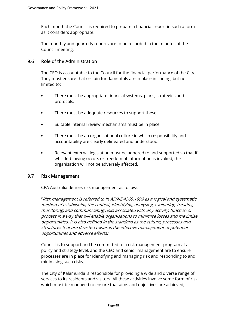Each month the Council is required to prepare a financial report in such a form as it considers appropriate.

The monthly and quarterly reports are to be recorded in the minutes of the Council meeting.

# 9.6 Role of the Administration

The CEO is accountable to the Council for the financial performance of the City. They must ensure that certain fundamentals are in place including, but not limited to:

- There must be appropriate financial systems, plans, strategies and protocols.
- There must be adequate resources to support these.
- Suitable internal review mechanisms must be in place.
- There must be an organisational culture in which responsibility and accountability are clearly delineated and understood.
- Relevant external legislation must be adhered to and supported so that if whistle-blowing occurs or freedom of information is invoked, the organisation will not be adversely affected.

#### 9.7 Risk Management

CPA Australia defines risk management as follows:

"Risk management is referred to in AS/NZ 4360:1999 as a logical and systematic method of establishing the context, identifying, analysing, evaluating, treating, monitoring, and communicating risks associated with any activity, function or process in a way that will enable organisations to minimise losses and maximise opportunities. It is also defined in the standard as the culture, processes and structures that are directed towards the effective management of potential opportunities and adverse effects."

Council is to support and be committed to a risk management program at a policy and strategy level, and the CEO and senior management are to ensure processes are in place for identifying and managing risk and responding to and minimising such risks.

The City of Kalamunda is responsible for providing a wide and diverse range of services to its residents and visitors. All these activities involve some form of risk, which must be managed to ensure that aims and objectives are achieved,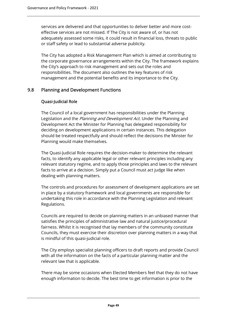services are delivered and that opportunities to deliver better and more costeffective services are not missed. If The City is not aware of, or has not adequately assessed some risks, it could result in financial loss, threats to public or staff safety or lead to substantial adverse publicity.

The City has adopted a Risk Management Plan which is aimed at contributing to the corporate governance arrangements within the City. The framework explains the City's approach to risk management and sets out the roles and responsibilities. The document also outlines the key features of risk management and the potential benefits and its importance to the City.

# 9.8 Planning and Development Functions

## Quasi-Judicial Role

The Council of a local government has responsibilities under the Planning Legislation and the *Planning and Development Act*. Under the Planning and Development Act the Minister for Planning has delegated responsibility for deciding on development applications in certain instances. This delegation should be treated respectfully and should reflect the decisions the Minster for Planning would make themselves.

The Quasi-Judicial Role requires the decision-maker to determine the relevant facts, to identify any applicable legal or other relevant principles including any relevant statutory regime, and to apply those principles and laws to the relevant facts to arrive at a decision. Simply put a Council must act judge like when dealing with planning matters.

The controls and procedures for assessment of development applications are set in place by a statutory framework and local governments are responsible for undertaking this role in accordance with the Planning Legislation and relevant Regulations.

Councils are required to decide on planning matters in an unbiased manner that satisfies the principles of administrative law and natural justice/procedural fairness. Whilst it is recognised that lay members of the community constitute Councils, they must exercise their discretion over planning matters in a way that is mindful of this quasi-judicial role.

The City employs specialist planning officers to draft reports and provide Council with all the information on the facts of a particular planning matter and the relevant law that is applicable.

There may be some occasions when Elected Members feel that they do not have enough information to decide. The best time to get information is prior to the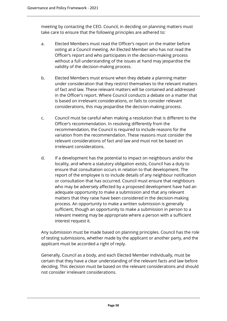meeting by contacting the CEO. Council, in deciding on planning matters must take care to ensure that the following principles are adhered to:

- a. Elected Members must read the Officer's report on the matter before voting at a Council meeting. An Elected Member who has not read the Officer's report and who participates in the decision-making process without a full understanding of the issues at hand may jeopardise the validity of the decision-making process.
- b. Elected Members must ensure when they debate a planning matter under consideration that they restrict themselves to the relevant matters of fact and law. These relevant matters will be contained and addressed in the Officer's report. Where Council conducts a debate on a matter that is based on irrelevant considerations, or fails to consider relevant considerations, this may jeopardise the decision-making process.
- c. Council must be careful when making a resolution that is different to the Officer's recommendation. In resolving differently from the recommendation, the Council is required to include reasons for the variation from the recommendation. These reasons must consider the relevant considerations of fact and law and must not be based on irrelevant considerations.
- d. If a development has the potential to impact on neighbours and/or the locality, and where a statutory obligation exists, Council has a duty to ensure that consultation occurs in relation to that development. The report of the employee is to include details of any neighbour notification or consultation that has occurred. Council must ensure that neighbours who may be adversely affected by a proposed development have had an adequate opportunity to make a submission and that any relevant matters that they raise have been considered in the decision-making process. An opportunity to make a written submission is generally sufficient, though an opportunity to make a submission in person to a relevant meeting may be appropriate where a person with a sufficient interest request it.

Any submission must be made based on planning principles. Council has the role of testing submissions, whether made by the applicant or another party, and the applicant must be accorded a right of reply.

Generally, Council as a body, and each Elected Member individually, must be certain that they have a clear understanding of the relevant facts and law before deciding. This decision must be based on the relevant considerations and should not consider irrelevant considerations.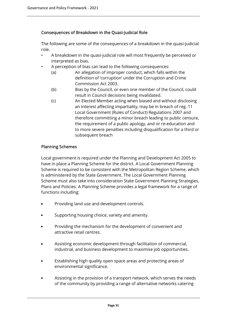## Consequences of Breakdown in the Quasi-Judicial Role

The following are some of the consequences of a breakdown in the quasi-judicial role.

- A breakdown in the quasi-judicial role will most frequently be perceived or interpreted as bias.
- A perception of bias can lead to the following consequences:
	- (a) An allegation of improper conduct, which falls within the definition of 'corruption' under the Corruption and Crime Commission Act 2003.
	- (b) Bias by the Council, or even one member of the Council, could result in Council decisions being invalidated.
	- (c) An Elected Member acting when biased and without disclosing an interest affecting impartiality, may be in breach of reg. 11 Local Government (Rules of Conduct) Regulations 2007 and therefore committing a minor breach leading to public censure, the requirement of a public apology, and or re-education and to more severe penalties including disqualification for a third or subsequent breach

## Planning Schemes

Local government is required under the Planning and Development Act 2005 to have in place a Planning Scheme for the district. A Local Government Planning Scheme is required to be consistent with the Metropolitan Region Scheme, which is administered by the State Government. The Local Government Planning Scheme must also take into consideration State Government Planning Strategies, Plans and Policies. A Planning Scheme provides a legal framework for a range of functions including:

- Providing land use and development controls.
- Supporting housing choice, variety and amenity.
- Providing the mechanism for the development of convenient and attractive retail centres.
- Assisting economic development through facilitation of commercial, industrial, and business development to maximise job opportunities.
- Establishing high quality open space areas and protecting areas of environmental significance.
- Assisting in the provision of a transport network, which serves the needs of the community by providing a range of alternative networks catering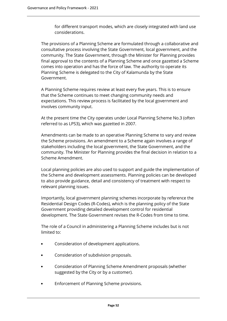for different transport modes, which are closely integrated with land use considerations.

The provisions of a Planning Scheme are formulated through a collaborative and consultative process involving the State Government, local government, and the community. The State Government, through the Minister for Planning provides final approval to the contents of a Planning Scheme and once gazetted a Scheme comes into operation and has the force of law. The authority to operate its Planning Scheme is delegated to the City of Kalamunda by the State Government.

A Planning Scheme requires review at least every five years. This is to ensure that the Scheme continues to meet changing community needs and expectations. This review process is facilitated by the local government and involves community input.

At the present time the City operates under Local Planning Scheme No.3 (often referred to as LPS3), which was gazetted in 2007.

Amendments can be made to an operative Planning Scheme to vary and review the Scheme provisions. An amendment to a Scheme again involves a range of stakeholders including the local government, the State Government, and the community. The Minister for Planning provides the final decision in relation to a Scheme Amendment.

Local planning policies are also used to support and guide the implementation of the Scheme and development assessments. Planning policies can be developed to also provide guidance, detail and consistency of treatment with respect to relevant planning issues.

Importantly, local government planning schemes incorporate by reference the Residential Design Codes (R-Codes), which is the planning policy of the State Government providing detailed development control for residential development. The State Government revises the R-Codes from time to time.

The role of a Council in administering a Planning Scheme includes but is not limited to:

- Consideration of development applications.
- Consideration of subdivision proposals.
- Consideration of Planning Scheme Amendment proposals (whether suggested by the City or by a customer).
- Enforcement of Planning Scheme provisions.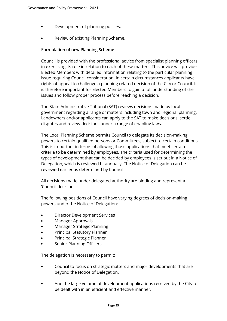- Development of planning policies.
- Review of existing Planning Scheme.

### Formulation of new Planning Scheme

Council is provided with the professional advice from specialist planning officers in exercising its role in relation to each of these matters. This advice will provide Elected Members with detailed information relating to the particular planning issue requiring Council consideration. In certain circumstances applicants have rights of appeal to challenge a planning related decision of the City or Council. It is therefore important for Elected Members to gain a full understanding of the issues and follow proper process before reaching a decision.

The State Administrative Tribunal (SAT) reviews decisions made by local government regarding a range of matters including town and regional planning. Landowners and/or applicants can apply to the SAT to make decisions, settle disputes and review decisions under a range of enabling laws.

The Local Planning Scheme permits Council to delegate its decision-making powers to certain qualified persons or Committees, subject to certain conditions. This is important in terms of allowing those applications that meet certain criteria to be determined by employees. The criteria used for determining the types of development that can be decided by employees is set out in a Notice of Delegation, which is reviewed bi-annually. The Notice of Delegation can be reviewed earlier as determined by Council.

All decisions made under delegated authority are binding and represent a 'Council decision'.

The following positions of Council have varying degrees of decision-making powers under the Notice of Delegation:

- Director Development Services
- Manager Approvals
- Manager Strategic Planning
- Principal Statutory Planner
- Principal Strategic Planner
- Senior Planning Officers.

The delegation is necessary to permit:

- Council to focus on strategic matters and major developments that are beyond the Notice of Delegation.
- And the large volume of development applications received by the City to be dealt with in an efficient and effective manner.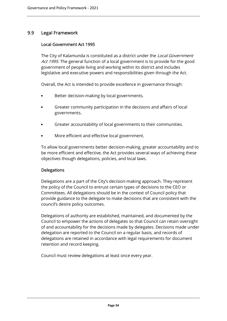# 9.9 Legal Framework

## Local Government Act 1995

The City of Kalamunda is constituted as a district under the *Local Government* Act 1995. The general function of a local government is to provide for the good government of people living and working within its district and includes legislative and executive powers and responsibilities given through the Act.

Overall, the Act is intended to provide excellence in governance through:

- Better decision-making by local governments.
- Greater community participation in the decisions and affairs of local governments.
- Greater accountability of local governments to their communities.
- More efficient and effective local government.

To allow local governments better decision-making, greater accountability and to be more efficient and effective, the Act provides several ways of achieving these objectives though delegations, policies, and local laws.

#### **Delegations**

Delegations are a part of the City's decision-making approach. They represent the policy of the Council to entrust certain types of decisions to the CEO or Committees. All delegations should be in the context of Council policy that provide guidance to the delegate to make decisions that are consistent with the council's desire policy outcomes.

Delegations of authority are established, maintained, and documented by the Council to empower the actions of delegates so that Council can retain oversight of and accountability for the decisions made by delegates. Decisions made under delegation are reported to the Council on a regular basis, and records of delegations are retained in accordance with legal requirements for document retention and record keeping.

Council must review delegations at least once every year.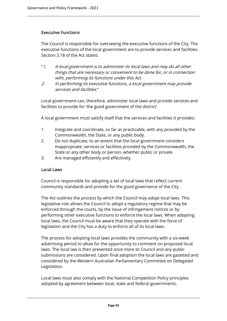#### Executive Functions

The Council is responsible for overseeing the executive functions of the City. The executive functions of the local government are to provide services and facilities. Section 3.18 of the Act states:

- "1. A local government is to administer its local laws and may do all other things that are necessary or convenient to be done for, or in connection with, performing its functions under this Act.
- 2. In performing its executive functions, a local government may provide services and facilities."

Local government can, therefore, administer local laws and provide services and facilities to provide for 'the good government of the district'.

A local government must satisfy itself that the services and facilities it provides:

- 1. Integrate and coordinate, so far as practicable, with any provided by the Commonwealth, the State, or any public body.
- 2. Do not duplicate, to an extent that the local government considers inappropriate, services or facilities provided by the Commonwealth, the State or any other body or person, whether public or private.
- 3. Are managed efficiently and effectively.

#### Local Laws

Council is responsible for adopting a set of local laws that reflect current community standards and provide for the good governance of the City.

The Act outlines the process by which the Council may adopt local laws. This legislative role allows the Council to adopt a regulatory regime that may be enforced through the courts, by the issue of infringement notices or by performing other executive functions to enforce the local laws. When adopting local laws, the Council must be aware that they operate with the force of legislation and the City has a duty to enforce all of its local laws.

The process for adopting local laws provides the community with a six-week advertising period to allow for the opportunity to comment on proposed local laws. The local law is then presented once more to Council and any public submissions are considered. Upon final adoption the local laws are gazetted and considered by the Western Australian Parliamentary Committee on Delegated Legislation.

Local laws must also comply with the National Competition Policy principles adopted by agreement between local, state and federal governments.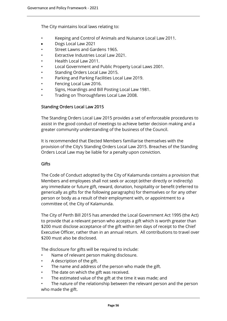The City maintains local laws relating to:

- Keeping and Control of Animals and Nuisance Local Law 2011.
- Dogs Local Law 2021
- Street Lawns and Gardens 1965.
- Extractive Industries Local Law 2021.
- Health Local Law 2011.
- Local Government and Public Property Local Laws 2001.
- Standing Orders Local Law 2015.
- Parking and Parking Facilities Local Law 2019.
- Fencing Local Law 2016.
- Signs, Hoardings and Bill Posting Local Law 1981.
- Trading on Thoroughfares Local Law 2008.

#### Standing Orders Local Law 2015

The Standing Orders Local Law 2015 provides a set of enforceable procedures to assist in the good conduct of meetings to achieve better decision making and a greater community understanding of the business of the Council.

It is recommended that Elected Members familiarise themselves with the provision of the City's Standing Orders Local Law 2015. Breaches of the Standing Orders Local Law may be liable for a penalty upon conviction.

#### **Gifts**

The Code of Conduct adopted by the City of Kalamunda contains a provision that Members and employees shall not seek or accept (either directly or indirectly) any immediate or future gift, reward, donation, hospitality or benefit (referred to generically as gifts for the following paragraphs) for themselves or for any other person or body as a result of their employment with, or appointment to a committee of, the City of Kalamunda.

The City of Perth Bill 2015 has amended the Local Government Act 1995 (the Act) to provide that a relevant person who accepts a gift which is worth greater than \$200 must disclose acceptance of the gift within ten days of receipt to the Chief Executive Officer, rather than in an annual return. All contributions to travel over \$200 must also be disclosed.

The disclosure for gifts will be required to include:

- Name of relevant person making disclosure.
- A description of the gift.
- The name and address of the person who made the gift.
- The date on which the gift was received.
- The estimated value of the gift at the time it was made; and
- The nature of the relationship between the relevant person and the person who made the gift.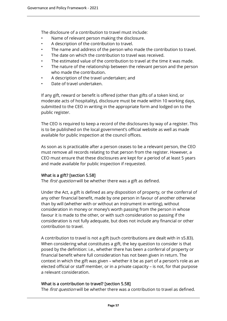The disclosure of a contribution to travel must include:

- Name of relevant person making the disclosure.
- A description of the contribution to travel.
- The name and address of the person who made the contribution to travel.
- The date on which the contribution to travel was received.
- The estimated value of the contribution to travel at the time it was made.
- The nature of the relationship between the relevant person and the person who made the contribution.
- A description of the travel undertaken; and
- Date of travel undertaken.

If any gift, reward or benefit is offered (other than gifts of a token kind, or moderate acts of hospitality), disclosure must be made within 10 working days, submitted to the CEO in writing in the appropriate form and lodged on to the public register.

The CEO is required to keep a record of the disclosures by way of a register. This is to be published on the local government's official website as well as made available for public inspection at the council offices.

As soon as is practicable after a person ceases to be a relevant person, the CEO must remove all records relating to that person from the register. However, a CEO must ensure that these disclosures are kept for a period of at least 5 years and made available for public inspection if requested.

# What is a gift? [section 5.58]

The *first question* will be whether there was a gift as defined.

Under the Act, a gift is defined as any disposition of property, or the conferral of any other financial benefit, made by one person in favour of another otherwise than by will (whether with or without an instrument in writing), without consideration in money or money's worth passing from the person in whose favour it is made to the other, or with such consideration so passing if the consideration is not fully adequate, but does not include any financial or other contribution to travel.

A contribution to travel is not a gift (such contributions are dealt with in s5.83). When considering what constitutes a gift, the key question to consider is that posed by the definition: i.e., whether there has been a conferral of property or financial benefit where full consideration has not been given in return. The context in which the gift was given – whether it be as part of a person's role as an elected official or staff member, or in a private capacity – is not, for that purpose a relevant consideration.

#### What is a contribution to travel? [section 5.58]

The first question will be whether there was a contribution to travel as defined.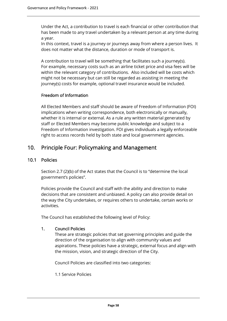Under the Act, a contribution to travel is each financial or other contribution that has been made to any travel undertaken by a relevant person at any time during a year.

In this context, travel is a journey or journeys away from where a person lives. It does not matter what the distance, duration or mode of transport is.

A contribution to travel will be something that facilitates such a journey(s). For example, necessary costs such as an airline ticket price and visa fees will be within the relevant category of contributions. Also included will be costs which might not be necessary but can still be regarded as assisting in meeting the journey(s) costs for example, optional travel insurance would be included.

## Freedom of Information

All Elected Members and staff should be aware of Freedom of Information (FOI) implications when writing correspondence, both electronically or manually, whether it is internal or external. As a rule any written material generated by staff or Elected Members may become public knowledge and subject to a Freedom of Information investigation. FOI gives individuals a legally enforceable right to access records held by both state and local government agencies.

# 10. Principle Four: Policymaking and Management

## 10.1 Policies

Section 2.7 (2)(b) of the Act states that the Council is to "determine the local government's policies".

Policies provide the Council and staff with the ability and direction to make decisions that are consistent and unbiased. A policy can also provide detail on the way the City undertakes, or requires others to undertake, certain works or activities.

The Council has established the following level of Policy:

#### 1. Council Policies

These are strategic policies that set governing principles and guide the direction of the organisation to align with community values and aspirations. These policies have a strategic, external focus and align with the mission, vision, and strategic direction of the City.

Council Policies are classified into two categories:

1.1 Service Policies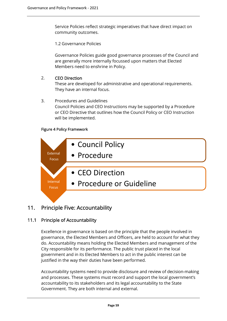Service Policies reflect strategic imperatives that have direct impact on community outcomes.

1.2 Governance Policies

Governance Policies guide good governance processes of the Council and are generally more internally focussed upon matters that Elected Members need to enshrine in Policy.

#### 2. CEO Direction

These are developed for administrative and operational requirements. They have an internal focus.

#### 3. Procedures and Guidelines

Council Policies and CEO Instructions may be supported by a Procedure or CEO Directive that outlines how the Council Policy or CEO Instruction will be implemented.

#### Figure 4 Policy Framework



# 11. Principle Five: Accountability

# 11.1 Principle of Accountability

Excellence in governance is based on the principle that the people involved in governance, the Elected Members and Officers, are held to account for what they do. Accountability means holding the Elected Members and management of the City responsible for its performance. The public trust placed in the local government and in its Elected Members to act in the public interest can be justified in the way their duties have been performed.

Accountability systems need to provide disclosure and review of decision-making and processes. These systems must record and support the local government's accountability to its stakeholders and its legal accountability to the State Government. They are both internal and external.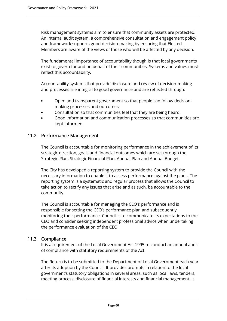Risk management systems aim to ensure that community assets are protected. An internal audit system, a comprehensive consultation and engagement policy and framework supports good decision-making by ensuring that Elected Members are aware of the views of those who will be affected by any decision.

The fundamental importance of accountability though is that local governments exist to govern for and on behalf of their communities. Systems and values must reflect this accountability.

Accountability systems that provide disclosure and review of decision-making and processes are integral to good governance and are reflected through:

- Open and transparent government so that people can follow decisionmaking processes and outcomes.
- Consultation so that communities feel that they are being heard.
- Good information and communication processes so that communities are kept informed.

# 11.2 Performance Management

The Council is accountable for monitoring performance in the achievement of its strategic direction, goals and financial outcomes which are set through the Strategic Plan, Strategic Financial Plan, Annual Plan and Annual Budget.

The City has developed a reporting system to provide the Council with the necessary information to enable it to assess performance against the plans. The reporting system is a systematic and regular process that allows the Council to take action to rectify any issues that arise and as such, be accountable to the community.

The Council is accountable for managing the CEO's performance and is responsible for setting the CEO's performance plan and subsequently monitoring their performance. Council is to communicate its expectations to the CEO and consider seeking independent professional advice when undertaking the performance evaluation of the CEO.

# 11.3 Compliance

It is a requirement of the Local Government Act 1995 to conduct an annual audit of compliance with statutory requirements of the Act.

The Return is to be submitted to the Department of Local Government each year after its adoption by the Council. It provides prompts in relation to the local government's statutory obligations in several areas, such as local laws, tenders, meeting process, disclosure of financial interests and financial management. It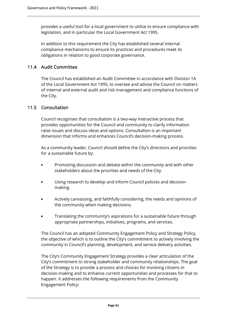provides a useful tool for a local government to utilise to ensure compliance with legislation, and in particular the Local Government Act 1995.

In addition to this requirement the City has established several internal compliance mechanisms to ensure its practices and procedures meet its obligations in relation to good corporate governance.

# 11.4 Audit Committee

The Council has established an Audit Committee in accordance with Division 1A of the Local Government Act 1995, to oversee and advise the Council on matters of internal and external audit and risk management and compliance functions of the City.

## 11.5 Consultation

Council recognises that consultation is a two-way interactive process that provides opportunities for the Council and community to clarify information raise issues and discuss ideas and options. Consultation is an important dimension that informs and enhances Council's decision-making process.

As a community leader, Council should define the City's directions and priorities for a sustainable future by:

- Promoting discussion and debate within the community and with other stakeholders about the priorities and needs of the City.
- Using research to develop and inform Council policies and decisionmaking.
- Actively canvassing, and faithfully considering, the needs and opinions of the community when making decisions.
- Translating the community's aspirations for a sustainable future through appropriate partnerships, initiatives, programs, and services.

The Council has an adopted Community Engagement Policy and Strategy Policy, the objective of which is to outline the City's commitment to actively involving the community in Council's planning, development, and service delivery activities.

The City's Community Engagement Strategy provides a clear articulation of the City's commitment to strong stakeholder and community relationships. The goal of the Strategy is to provide a process and choices for involving citizens in decision-making and to enhance current opportunities and processes for that to happen. It addresses the following requirements from the Community Engagement Policy: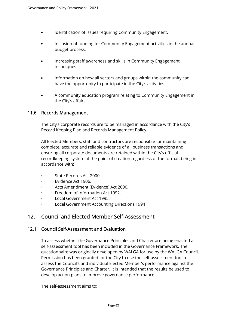- Identification of issues requiring Community Engagement.
- Inclusion of funding for Community Engagement activities in the annual budget process.
- Increasing staff awareness and skills in Community Engagement techniques.
- Information on how all sectors and groups within the community can have the opportunity to participate in the City's activities.
- A community education program relating to Community Engagement in the City's affairs.

# 11.6 Records Management

The City's corporate records are to be managed in accordance with the City's Record Keeping Plan and Records Management Policy.

All Elected Members, staff and contractors are responsible for maintaining complete, accurate and reliable evidence of all business transactions and ensuring all corporate documents are retained within the City's official recordkeeping system at the point of creation regardless of the format, being in accordance with:

- State Records Act 2000.
- Evidence Act 1906.
- Acts Amendment (Evidence) Act 2000.
- Freedom of Information Act 1992.
- Local Government Act 1995.
- Local Government Accounting Directions 1994

# 12. Council and Elected Member Self-Assessment

#### 12.1 Council Self-Assessment and Evaluation

To assess whether the Governance Principles and Charter are being enacted a self-assessment tool has been included in the Governance Framework. The questionnaire was originally developed by WALGA for use by the WALGA Council. Permission has been granted for the City to use the self-assessment tool to assess the Council's and individual Elected Member's performance against the Governance Principles and Charter. It is intended that the results be used to develop action plans to improve governance performance.

The self-assessment aims to: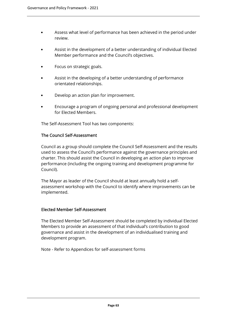- Assess what level of performance has been achieved in the period under review.
- Assist in the development of a better understanding of individual Elected Member performance and the Council's objectives.
- Focus on strategic goals.
- Assist in the developing of a better understanding of performance orientated relationships.
- Develop an action plan for improvement.
- Encourage a program of ongoing personal and professional development for Elected Members.

The Self-Assessment Tool has two components:

#### The Council Self-Assessment

Council as a group should complete the Council Self-Assessment and the results used to assess the Council's performance against the governance principles and charter. This should assist the Council in developing an action plan to improve performance (including the ongoing training and development programme for Council).

The Mayor as leader of the Council should at least annually hold a selfassessment workshop with the Council to identify where improvements can be implemented.

# Elected Member Self-Assessment

The Elected Member Self-Assessment should be completed by individual Elected Members to provide an assessment of that individual's contribution to good governance and assist in the development of an individualised training and development program.

Note - Refer to Appendices for self-assessment forms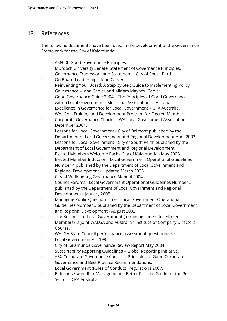# 13. References

The following documents have been used in the development of the Governance Framework for the City of Kalamunda:

- AS8000 Good Governance Principles.
- Murdoch University Senate, Statement of Governance Principles.
- Governance Framework and Statement City of South Perth.
- On Board Leadership John Carver.
- Reinventing Your Board, A Step by Step Guide to Implementing Policy Governance – John Carver and Miriam Mayhew Carver.
- Good Governance Guide 2004 The Principles of Good Governance within Local Government - Municipal Association of Victoria.
- Excellence in Governance for Local Government CPA Australia.
- WALGA Training and Development Program for Elected Members.
- Corporate Governance Charter WA Local Government Association December 2004.
- Lessons for Local Government City of Belmont published by the Department of Local Government and Regional Development April 2003.
- Lessons for Local Government City of South Perth published by the Department of Local Government and Regional Development.
- Elected Members Welcome Pack City of Kalamunda May 2003.
- Elected Member Induction Local Government Operational Guidelines Number 4 published by the Department of Local Government and Regional Development - Updated March 2005.
- City of Wollongong Governance Manual 2004.
- Council Forums Local Government Operational Guidelines Number 5 published by the Department of Local Government and Regional Development - January 2005.
- Managing Public Question Time Local Government Operational Guidelines Number 3 published by the Department of Local Government and Regional Development - August 2002.
- The Business of Local Government (a training course for Elected Members)- a joint WALGA and Australian Institute of Company Directors Course.
- WALGA State Council performance assessment questionnaire.
- Local Government Act 1995.
- City of Kalamunda Governance Review Report May 2004.
- Sustainability Reporting Guidelines Global Reporting Initiative.
- ASX Corporate Governance Council Principles of Good Corporate Governance and Best Practice Recommendations.
- Local Government (Rules of Conduct) Regulations 2007.
- Enterprise-wide Risk Management Better Practice Guide for the Public Sector – CPA Australia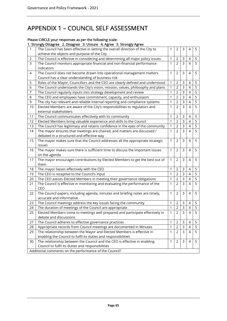# APPENDIX 1 – COUNCIL SELF ASSESSMENT

#### Please CIRCLE your responses as per the following scale:

# 1. Strongly Disagree 2. Disagree 3. Unsure 4. Agree 5. Strongly Agree

|    | $\alpha$ , subligly place b. place of submanic $\alpha$ , $\alpha$ is $\alpha$ or submanic or $\alpha$                        |              |                |                |                          |                |  |  |  |
|----|-------------------------------------------------------------------------------------------------------------------------------|--------------|----------------|----------------|--------------------------|----------------|--|--|--|
| 1  | The Council has been effective in setting the overall direction of the City to<br>achieve the objects and purpose of the City | 1            | 2              | 3              | 4                        | 5              |  |  |  |
| 2  | The Council is effective in considering and determining all major policy issues                                               | 1            | 2              | 3              | 4                        | 5              |  |  |  |
| 3  | The Council monitors appropriate financial and non-financial performance                                                      | 1            | $\overline{2}$ | $\overline{3}$ | 4                        | 5              |  |  |  |
|    | indicators                                                                                                                    |              |                |                |                          |                |  |  |  |
| 4  | The Council does not become drawn into operational management matters                                                         | 1            | $\overline{2}$ | 3              | 4                        | 5              |  |  |  |
|    | Council has a clear understanding of business risk                                                                            |              |                |                |                          |                |  |  |  |
| 5  | Roles of the Mayor, Councillors and the CEO are clearly defined and understood                                                | 1            | 2              | 3              | 4                        | 5              |  |  |  |
| 6  | The Council understands the City's vision, mission, values, philosophy and plans                                              | 1            | $\overline{2}$ | 3              | 4                        | 5              |  |  |  |
| 7  | The Council regularly inputs into strategy development and review                                                             | 1            | $\overline{2}$ | 3              | $\overline{4}$           | 5              |  |  |  |
| 8  | The CEO and employees have commitment, capacity, and enthusiasm                                                               | 1            | $\overline{2}$ | 3              | $\overline{4}$           | 5              |  |  |  |
| 9  | The city has relevant and reliable internal reporting and compliance systems                                                  | 1            | $\overline{2}$ | 3              | $\overline{4}$           | 5              |  |  |  |
| 10 | Elected Members are aware of the City's responsibilities to regulators and                                                    | 1            | $\overline{2}$ | 3              | 4                        | 5              |  |  |  |
|    | external stakeholders                                                                                                         |              |                |                |                          |                |  |  |  |
| 11 | The Council communicates effectively with its community                                                                       | 1            | $\overline{2}$ | 3              | 4                        | 5              |  |  |  |
| 12 | Elected Members bring valuable experience and skills to the Council                                                           | 1            | $\overline{2}$ | 3              | 4                        | 5              |  |  |  |
| 13 | The Council has legitimacy and retains confidence in the eyes of the community                                                | 1            | $\overline{2}$ | 3              | 4                        | $\overline{5}$ |  |  |  |
| 14 | The mayor ensures that meetings are chaired, and matters are discussed /                                                      | 1            | $\overline{2}$ | 3              | $\overline{4}$           | 5              |  |  |  |
|    | debated in a structured and effective way                                                                                     |              |                |                |                          |                |  |  |  |
| 15 | The mayor makes sure that the Council addresses all the appropriate strategic                                                 | 1            | $\overline{2}$ | 3              | 4                        | 5              |  |  |  |
|    | issues                                                                                                                        |              |                |                |                          |                |  |  |  |
| 16 | The mayor makes sure there is sufficient time to discuss the important issues                                                 | 1            | $\overline{2}$ | 3              | 4                        | 5              |  |  |  |
|    | on the agenda                                                                                                                 |              |                |                |                          |                |  |  |  |
| 17 | The mayor encourages contributions by Elected Members to get the best out of                                                  | 1            | $\overline{2}$ | 3              | 4                        | 5              |  |  |  |
|    | them                                                                                                                          |              |                |                |                          |                |  |  |  |
| 18 | The mayor liaises effectively with the CEO                                                                                    | 1            | 2              | 3              | 4                        | 5              |  |  |  |
| 19 | The CEO is receptive to the Council's input                                                                                   | 1            | $\overline{2}$ | 3              | 4                        | 5              |  |  |  |
| 20 | The CEO assists Elected Members in meeting their governance obligations                                                       | 1            | $\overline{2}$ | 3              | 4                        | 5              |  |  |  |
| 21 | The Council is effective in monitoring and evaluating the performance of the                                                  | 1            | $\overline{2}$ | 3              | 4                        | 5              |  |  |  |
|    | CEO                                                                                                                           |              |                |                |                          |                |  |  |  |
| 22 | The Council papers, including agenda, minutes and briefing notes are timely,                                                  | 1            | $\overline{2}$ | 3              | 4                        | 5              |  |  |  |
|    | accurate and informative                                                                                                      |              |                |                |                          |                |  |  |  |
| 23 | The Council meetings address the key issues facing the community                                                              | $\mathbf{1}$ | $\overline{2}$ | 3              | $\overline{4}$           | 5              |  |  |  |
| 24 | The duration of meetings of the Council are appropriate                                                                       | 1            | $\mathbf 2$    | 3              | 4                        | 5              |  |  |  |
| 25 | Elected Members come to meetings well prepared and participate effectively in                                                 | 1            | $\overline{2}$ | 3              | $\overline{\mathcal{A}}$ | $\overline{5}$ |  |  |  |
|    | debate and discussions                                                                                                        |              |                |                |                          |                |  |  |  |
| 27 | The Council adheres to effective governance practices                                                                         | 1            | $\mathbf{2}$   | 3              | 4                        | 5              |  |  |  |
| 28 | Appropriate records from Council meetings are documented in Minutes                                                           | $\mathbf{1}$ | $\overline{2}$ | 3              | $\sqrt{4}$               | 5              |  |  |  |
| 29 | The relationship between the Mayor and Elected Members is effective in                                                        | $\mathbf{1}$ | $\overline{2}$ | $\mathsf{3}$   | $\overline{4}$           | 5              |  |  |  |
|    | enabling the Council to fulfil its duties and responsibilities                                                                |              |                |                |                          |                |  |  |  |
| 30 | The relationship between the Council and the CEO is effective in enabling                                                     | $\mathbf{1}$ | $\overline{2}$ | 3              | 4                        | 5              |  |  |  |
|    | Council to fulfil its duties and responsibilities                                                                             |              |                |                |                          |                |  |  |  |
|    | Additional comments on the performance of the Council?                                                                        |              |                |                |                          |                |  |  |  |